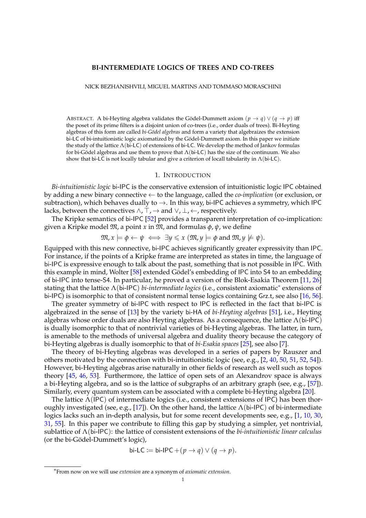#### **BI-INTERMEDIATE LOGICS OF TREES AND CO-TREES**

NICK BEZHANISHVILI, MIGUEL MARTINS AND TOMMASO MORASCHINI

ABSTRACT. A bi-Heyting algebra validates the Gödel-Dummett axiom  $(p \rightarrow q) \vee (q \rightarrow p)$  iff the poset of its prime filters is a disjoint union of co-trees (i.e., order duals of trees). Bi-Heyting algebras of this form are called *bi-G¨odel algebras* and form a variety that algebraizes the extension bi-LC of bi-intuitionistic logic axiomatized by the Gödel-Dummett axiom. In this paper we initiate the study of the lattice Λ(bi-LC) of extensions of bi-LC. We develop the method of Jankov formulas for bi-Gödel algebras and use them to prove that  $\Lambda$ (bi-LC) has the size of the continuum. We also show that bi-LC is not locally tabular and give a criterion of locall tabularity in  $\Lambda$ (bi-LC).

## 1. INTRODUCTION

*Bi-intuitionistic logic* bi-IPC is the conservative extension of intuitionistic logic IPC obtained by adding a new binary connective ← to the language, called the *co-implication* (or exclusion, or subtraction), which behaves dually to  $\rightarrow$ . In this way, bi-IPC achieves a symmetry, which IPC lacks, between the connectives  $\land$ ,  $\top$ ,  $\rightarrow$  and  $\lor$ ,  $\bot$ ,  $\leftarrow$ , respectively.

The Kripke semantics of bi-IPC [\[52\]](#page-29-0) provides a transparent interpretation of co-implication: given a Kripke model  $\mathfrak{M}$ , a point *x* in  $\mathfrak{M}$ , and formulas  $\phi$ ,  $\psi$ , we define

$$
\mathfrak{M}, x \models \phi \leftarrow \psi \iff \exists y \leq x \ (\mathfrak{M}, y \models \phi \text{ and } \mathfrak{M}, y \not\models \psi).
$$

Equipped with this new connective, bi-IPC achieves significantly greater expressivity than IPC. For instance, if the points of a Kripke frame are interpreted as states in time, the language of bi-IPC is expressive enough to talk about the past, something that is not possible in IPC. With this example in mind, Wolter [\[58\]](#page-30-0) extended Gödel's embedding of IPC into S4 to an embedding of bi-IPC into tense-S4. In particular, he proved a version of the Blok-Esakia Theorem [\[11,](#page-28-0) [26\]](#page-29-1) stating that the lattice Λ(bi-IPC) *bi-intermediate logics* (i.e., consistent axiomatic[∗](#page-0-0) extensions of bi-IPC) is isomorphic to that of consistent normal tense logics containing Grz.t, see also [\[16,](#page-28-1) [56\]](#page-30-1).

The greater symmetry of bi-IPC with respect to IPC is reflected in the fact that bi-IPC is algebraized in the sense of [\[13\]](#page-28-2) by the variety bi-HA of *bi-Heyting algebras* [\[51\]](#page-29-2), i.e., Heyting algebras whose order duals are also Heyting algebras. As a consequence, the lattice  $\Lambda$ (bi-IPC) is dually isomorphic to that of nontrivial varieties of bi-Heyting algebras. The latter, in turn, is amenable to the methods of universal algebra and duality theory because the category of bi-Heyting algebras is dually isomorphic to that of *bi-Esakia spaces* [\[25\]](#page-29-3), see also [\[7\]](#page-28-3).

The theory of bi-Heyting algebras was developed in a series of papers by Rauszer and others motivated by the connection with bi-intuitionistic logic (see, e.g., [\[2,](#page-28-4) [40,](#page-29-4) [50,](#page-29-5) [51,](#page-29-2) [52,](#page-29-0) [54\]](#page-30-2)). However, bi-Heyting algebras arise naturally in other fields of research as well such as topos theory [\[45,](#page-29-6) [46,](#page-29-7) [53\]](#page-30-3). Furthermore, the lattice of open sets of an Alexandrov space is always a bi-Heyting algebra, and so is the lattice of subgraphs of an arbitrary graph (see, e.g., [\[57\]](#page-30-4)). Similarly, every quantum system can be associated with a complete bi-Heyting algebra [\[20\]](#page-29-8).

The lattice  $\Lambda$ (IPC) of intermediate logics (i.e., consistent extensions of IPC) has been thor-oughly investigated (see, e.g., [\[17\]](#page-29-9)). On the other hand, the lattice  $\Lambda$ (bi-IPC) of bi-intermediate logics lacks such an in-depth analysis, but for some recent developments see, e.g., [\[1,](#page-28-5) [10,](#page-28-6) [30,](#page-29-10) [31,](#page-29-11) [55\]](#page-30-5). In this paper we contribute to filling this gap by studying a simpler, yet nontrivial, sublattice of Λ(bi-IPC): the lattice of consistent extensions of the *bi-intuitionistic linear calculus* (or the bi-Gödel-Dummett's logic),

$$
\text{bi-LC} \coloneqq \text{bi-IPC} + (p \rightarrow q) \vee (q \rightarrow p).
$$

<span id="page-0-0"></span><sup>∗</sup> From now on we will use *extension* are a synonym of *axiomatic extension*.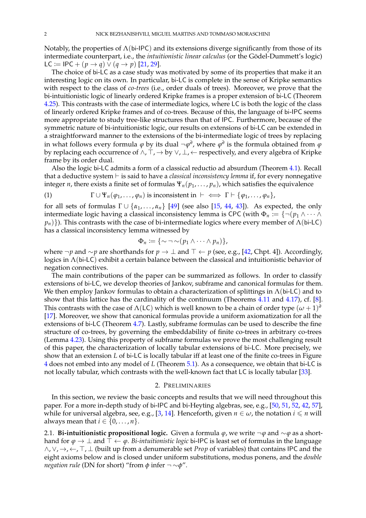Notably, the properties of  $\Lambda$ (bi-IPC) and its extensions diverge significantly from those of its intermediate counterpart, i.e., the *intuitionistic linear calculus* (or the Gödel-Dummett's logic) LC := IPC +  $(p \to q)$  ∨  $(q \to p)$  [\[21,](#page-29-12) [29\]](#page-29-13).

The choice of bi-LC as a case study was motivated by some of its properties that make it an interesting logic on its own. In particular, bi-LC is complete in the sense of Kripke semantics with respect to the class of *co-trees* (i.e., order duals of trees). Moreover, we prove that the bi-intuitionistic logic of linearly ordered Kripke frames is a proper extension of bi-LC (Theorem [4.25\)](#page-18-0). This contrasts with the case of intermediate logics, where LC is both the logic of the class of linearly ordered Kripke frames and of co-trees. Because of this, the language of bi-IPC seems more appropriate to study tree-like structures than that of IPC. Furthermore, because of the symmetric nature of bi-intuitionistic logic, our results on extensions of bi-LC can be extended in a straightforward manner to the extensions of the bi-intermediate logic of trees by replacing in what follows every formula  $\varphi$  by its dual  $\neg \varphi^{\partial}$ , where  $\varphi^{\partial}$  is the formula obtained from  $\varphi$ by replacing each occurrence of  $\wedge$ ,  $\overline{T}$ ,  $\rightarrow$  by  $\vee$ ,  $\perp$ ,  $\leftarrow$  respectively, and every algebra of Kripke frame by its order dual.

Also the logic bi-LC admits a form of a classical reductio ad absurdum (Theorem [4.1\)](#page-9-0). Recall that a deductive system  $\vdash$  is said to have a *classical inconsistency lemma* if, for every nonnegative integer *n*, there exists a finite set of formulas  $\Psi_n(p_1, \ldots, p_n)$ , which satisfies the equivalence

<span id="page-1-0"></span>(1) 
$$
\Gamma \cup \Psi_n(\varphi_1,\ldots,\varphi_n)
$$
 is inconsistent in  $\vdash \iff \Gamma \vdash \{\varphi_1,\ldots,\varphi_n\}$ ,

for all sets of formulas  $\Gamma \cup \{\alpha_1, \ldots, \alpha_n\}$  [\[49\]](#page-29-14) (see also [\[15,](#page-28-7) [44,](#page-29-15) [43\]](#page-29-16)). As expected, the only intermediate logic having a classical inconsistency lemma is CPC (with  $\Phi_n := \{\neg (p_1 \land \cdots \land p_n) \}$ *pn*)}). This contrasts with the case of bi-intermediate logics where every member of Λ(bi-LC) has a classical inconsistency lemma witnessed by

$$
\Phi_n := \{\sim \neg \sim (p_1 \land \cdots \land p_n)\},\
$$

where ¬*p* and ~*p* are shorthands for  $p \to \bot$  and  $\top \leftarrow p$  (see, e.g., [\[42,](#page-29-17) Chpt. 4]). Accordingly, logics in Λ(bi-LC) exhibit a certain balance between the classical and intuitionistic behavior of negation connectives.

The main contributions of the paper can be summarized as follows. In order to classify extensions of bi-LC, we develop theories of Jankov, subframe and canonical formulas for them. We then employ Jankov formulas to obtain a characterization of splittings in  $\Lambda$ (bi-LC) and to show that this lattice has the cardinality of the continuum (Theorems [4.11](#page-13-0) and [4.17\)](#page-16-0), cf. [\[8\]](#page-28-8). This contrasts with the case of  $\Lambda(\mathsf{LC})$  which is well known to be a chain of order type  $(\omega+1)^d$ [\[17\]](#page-29-9). Moreover, we show that canonical formulas provide a uniform axiomatization for all the extensions of bi-LC (Theorem [4.7\)](#page-12-0). Lastly, subframe formulas can be used to describe the fine structure of co-trees, by governing the embeddability of finite co-trees in arbitrary co-trees (Lemma [4.23\)](#page-17-0). Using this property of subframe formulas we prove the most challenging result of this paper, the characterization of locally tabular extensions of bi-LC. More precisely, we show that an extension *L* of bi-LC is locally tabular iff at least one of the finite co-trees in Figure [4](#page-19-0) does not embed into any model of *L* (Theorem [5.1\)](#page-18-1). As a consequence, we obtain that bi-LC is not locally tabular, which contrasts with the well-known fact that LC is locally tabular [\[33\]](#page-29-18).

### 2. PRELIMINARIES

In this section, we review the basic concepts and results that we will need throughout this paper. For a more in-depth study of bi-IPC and bi-Heyting algebras, see, e.g., [\[50,](#page-29-5) [51,](#page-29-2) [52,](#page-29-0) [42,](#page-29-17) [57\]](#page-30-4), while for universal algebra, see, e.g., [\[3,](#page-28-9) [14\]](#page-28-10). Henceforth, given  $n \in \omega$ , the notation  $i \leq n$  will always mean that  $i \in \{0, \ldots, n\}$ .

2.1. **Bi-intuitionistic propositional logic.** Given a formula *ϕ*, we write ¬*ϕ* and ∼*ϕ* as a shorthand for  $\varphi \to \bot$  and  $\top \leftarrow \varphi$ . *Bi-intuitionistic logic* bi-IPC is least set of formulas in the language ∧, ∨, →, ←, >, ⊥ (built up from a denumerable set *Prop* of variables) that contains IPC and the eight axioms below and is closed under uniform substitutions, modus ponens, and the *double negation rule* (DN for short) "from φ infer ¬ ∼φ".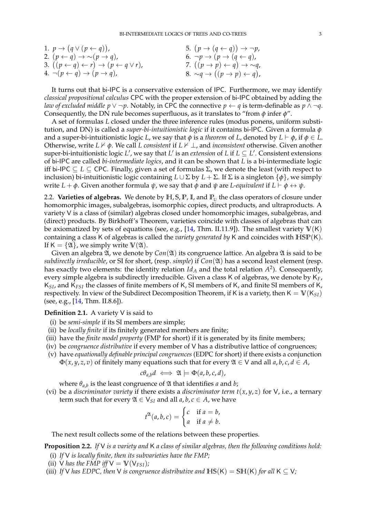| 1. $p \rightarrow (q \vee (p \leftarrow q))$ ,                             | 5. $(p \rightarrow (q \leftarrow q)) \rightarrow \neg p$ , |
|----------------------------------------------------------------------------|------------------------------------------------------------|
| 2. $(p \leftarrow q) \rightarrow \sim (p \rightarrow q)$ ,                 | 6. $\neg p \rightarrow (p \rightarrow (q \leftarrow q))$ , |
| 3. $((p \leftarrow q) \leftarrow r) \rightarrow (p \leftarrow q \vee r)$ , | 7. $((p \rightarrow p) \leftarrow q) \rightarrow \sim q$ , |
| 4. $\neg(p \leftarrow q) \rightarrow (p \rightarrow q)$ ,                  | 8. $\sim q \rightarrow ((p \rightarrow p) \leftarrow q)$ , |

It turns out that bi-IPC is a conservative extension of IPC. Furthermore, we may identify *classical propositional calculus* CPC with the proper extension of bi-IPC obtained by adding the *law of excluded middle*  $p \lor \neg p$ . Notably, in CPC the connective  $p \leftarrow q$  is term-definable as  $p \land \neg q$ . Consequently, the DN rule becomes superfluous, as it translates to "from *φ* infer *φ*".

A set of formulas *L* closed under the three inference rules (modus ponens, uniform substitution, and DN) is called a *super-bi-intuitionistic logic* if it contains bi-IPC. Given a formula *φ* and a super-bi-intuitionistic logic *L*, we say that  $\phi$  is a *theorem* of *L*, denoted by  $L \vdash \phi$ , if  $\phi \in L$ . Otherwise, write  $L \nvdash \phi$ . We call *L* consistent if  $L \nvdash \bot$ , and *inconsistent* otherwise. Given another super-bi-intuitionistic logic  $L'$ , we say that  $L'$  is an *extension* of  $L$  if  $L \subseteq L'$ . Consistent extensions of bi-IPC are called *bi-intermediate logics*, and it can be shown that *L* is a bi-intermediate logic iff bi-IPC  $\subseteq$  *L*  $\subseteq$  CPC. Finally, given a set of formulas Σ, we denote the least (with respect to inclusion) bi-intuitionistic logic containing *L* ∪ Σ by *L* + Σ. If Σ is a singleton {*φ*}, we simply write  $L + \phi$ . Given another formula  $\psi$ , we say that  $\phi$  and  $\psi$  are *L*-equivalent if  $L \vdash \phi \leftrightarrow \psi$ .

2.2. **Varieties of algebras.** We denote by  $\mathbb{H}$ , S,  $\mathbb{P}$ , I, and  $\mathbb{P}_{\text{U}}$  the class operators of closure under homomorphic images, subalgebras, isomorphic copies, direct products, and ultraproducts. A variety V is a class of (similar) algebras closed under homomorphic images, subalgebras, and (direct) products. By Birkhoff's Theorem, varieties coincide with classes of algebras that can be axiomatized by sets of equations (see, e.g., [\[14,](#page-28-10) Thm. II.11.9]). The smallest variety  $V(K)$ containing a class K of algebras is called the *variety generated by* K and coincides with **HSP**(K). If  $K = \{\mathfrak{A}\}\)$ , we simply write  $\mathbb{V}(\mathfrak{A})$ .

Given an algebra  $\mathfrak{A}$ , we denote by  $Con(\mathfrak{A})$  its congruence lattice. An algebra  $\mathfrak{A}$  is said to be *subdirectly irreducible*, or SI for short, (resp. *simple*) if *Con*(A) has a second least element (resp. has exactly two elements: the identity relation  $Id_A$  and the total relation  $A^2$ ). Consequently, every simple algebra is subdirectly irreducible. Given a class K of algebras, we denote by K*F*, K*SI*, and K*FSI* the classes of finite members of K, SI members of K, and finite SI members of K, respectively. In view of the Subdirect Decomposition Theorem, if K is a variety, then  $K = V(K_{SI})$ (see, e.g., [\[14,](#page-28-10) Thm. II.8.6]).

## **Definition 2.1.** A variety V is said to

- (i) be *semi-simple* if its SI members are simple;
- (ii) be *locally finite* if its finitely generated members are finite;
- (iii) have the *finite model property* (FMP for short) if it is generated by its finite members;
- (iv) be *congruence distributive* if every member of V has a distributive lattice of congruences;
- (v) have *equationally definable principal congruences* (EDPC for short) if there exists a conjunction  $\Phi(x, y, z, v)$  of finitely many equations such that for every  $\mathfrak{A} \in \mathsf{Y}$  and all  $a, b, c, d \in A$ ,

$$
c\theta_{a,b}d \iff \mathfrak{A} \models \Phi(a,b,c,d),
$$

where  $\theta_{a,b}$  is the least congruence of  $\mathfrak A$  that identifies *a* and *b*;

(vi) be a *discriminator variety* if there exists a *discriminator term*  $t(x, y, z)$  for V, i.e., a ternary term such that for every  $\mathfrak{A} \in V_{SI}$  and all  $a, b, c \in A$ , we have

$$
t^{\mathfrak{A}}(a,b,c) = \begin{cases} c & \text{if } a = b, \\ a & \text{if } a \neq b. \end{cases}
$$

The next result collects some of the relations between these properties.

<span id="page-2-0"></span>**Proposition 2.2.** *If* V *is a variety and* K *a class of similar algebras, then the following conditions hold:*

- (i) *If* V *is locally finite, then its subvarieties have the FMP;*
- (ii) V has the FMP iff  $V = V(V_{FSI})$ ;
- (iii) *If* V has EDPC, then V is congruence distributive and  $\text{HS}(K) = \text{SH}(K)$  for all  $K \subseteq V$ ;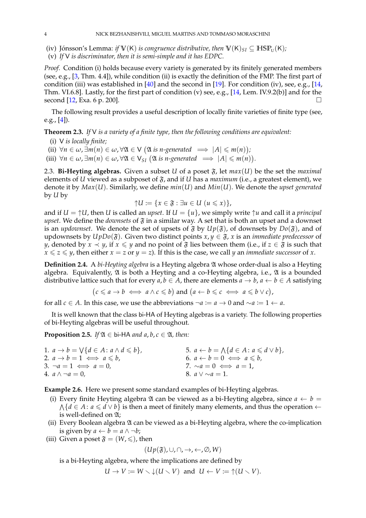- (iv) Jónsson's Lemma: *if*  $V(K)$  *is congruence distributive, then*  $V(K)_{SI} \subseteq \text{HSP}_{U}(K)$ *;*
- (v) *If* V *is discriminator, then it is semi-simple and it has EDPC.*

*Proof.* Condition (i) holds because every variety is generated by its finitely generated members (see, e.g., [\[3,](#page-28-9) Thm. 4.4]), while condition (ii) is exactly the definition of the FMP. The first part of condition (iii) was established in [\[40\]](#page-29-4) and the second in [\[19\]](#page-29-19). For condition (iv), see, e.g., [\[14,](#page-28-10) Thm. VI.6.8]. Lastly, for the first part of condition (v) see, e.g., [\[14,](#page-28-10) Lem. IV.9.2(b)] and for the second [\[12,](#page-28-11) Exa. 6 p. 200].

The following result provides a useful description of locally finite varieties of finite type (see, e.g.,  $[4]$ ).

<span id="page-3-2"></span>**Theorem 2.3.** *If* V *is a variety of a finite type, then the following conditions are equivalent:*

- (i) V *is locally finite;*
- (ii)  $\forall n \in \omega, \exists m(n) \in \omega, \forall \mathfrak{A} \in V \ (\mathfrak{A} \text{ is } n\text{-generated } \implies |A| \leqslant m(n));$

(iii)  $\forall n \in \omega, \exists m(n) \in \omega, \forall \mathfrak{A} \in \mathsf{V}_{\mathit{SI}} \quad (\mathfrak{A} \text{ is } n\text{-generated } \implies |A| \leqslant m(n)).$ 

2.3. **Bi-Heyting algebras.** Given a subset *U* of a poset  $\mathfrak{F}$ , let  $max(U)$  be the set the *maximal* elements of *U* viewed as a subposet of  $\mathfrak{F}$ , and if *U* has a *maximum* (i.e., a greatest element), we denote it by *Max*(*U*). Similarly, we define *min*(*U*) and *Min*(*U*). We denote the *upset generated* by *U* by

$$
\uparrow U := \{x \in \mathfrak{F} : \exists u \in U \ (u \leqslant x)\},
$$

and if  $U = \uparrow U$ , then *U* is called an *upset*. If  $U = \{u\}$ , we simply write  $\uparrow u$  and call it a *principal upset*. We define the *downsets* of  $\mathfrak F$  in a similar way. A set that is both an upset and a downset is an *updownset*. We denote the set of upsets of  $\mathfrak F$  by  $Up(\mathfrak F)$ , of downsets by  $Do(\mathfrak F)$ , and of updownsets by *UpDo*( $\mathfrak{F}$ ). Given two distinct points  $x, y \in \mathfrak{F}$ ,  $x$  is an *immediate predecessor* of *y*, denoted by  $x \prec y$ , if  $x \leq y$  and no point of  $\mathfrak F$  lies between them (i.e., if  $z \in \mathfrak F$  is such that  $\overline{x} \leq z \leq y$ , then either  $x = z$  or  $y = z$ ). If this is the case, we call *y* an *immediate successor* of *x*.

**Definition 2.4.** A *bi-Heyting algebra* is a Heyting algebra A whose order-dual is also a Heyting algebra. Equivalently,  $\mathfrak A$  is both a Heyting and a co-Heyting algebra, i.e.,  $\mathfrak A$  is a bounded distributive lattice such that for every  $a, b \in A$ , there are elements  $a \to b$ ,  $a \leftarrow b \in A$  satisfying

$$
(c \leq a \to b \iff a \land c \leq b)
$$
 and  $(a \leftarrow b \leq c \iff a \leq b \lor c)$ ,

for all *c* ∈ *A*. In this case, we use the abbreviations  $\neg a := a \rightarrow 0$  and  $\sim a := 1 \leftarrow a$ .

It is well known that the class bi-HA of Heyting algebras is a variety. The following properties of bi-Heyting algebras will be useful throughout.

<span id="page-3-0"></span>**Proposition 2.5.** *If*  $\mathfrak{A} \in$  bi-HA *and a*, *b*, *c*  $\in \mathfrak{A}$ , *then:* 

| 1. $a \rightarrow b = \sqrt{d \in A : a \wedge d \leq b}$ , | 5. $a \leftarrow b = \bigwedge \{d \in A : a \leq d \vee b\},\$ |
|-------------------------------------------------------------|-----------------------------------------------------------------|
| 2. $a \rightarrow b = 1 \iff a \leq b$ ,                    | 6. $a \leftarrow b = 0 \iff a \leq b$ ,                         |
| 3. $\neg a = 1 \iff a = 0$ ,                                | 7. $\sim a = 0 \iff a = 1$ ,                                    |
| 4. $a \wedge \neg a = 0$ .                                  | 8. $a \vee \sim a = 1$ .                                        |

<span id="page-3-1"></span>**Example 2.6.** Here we present some standard examples of bi-Heyting algebras.

- (i) Every finite Heyting algebra  $\mathfrak A$  can be viewed as a bi-Heyting algebra, since  $a \leftarrow b =$ A { $d \in A$ :  $a \le d \vee b$ } is then a meet of finitely many elements, and thus the operation ← is well-defined on  $\mathfrak{A}$ ;
- (ii) Every Boolean algebra  $\mathfrak A$  can be viewed as a bi-Heyting algebra, where the co-implication is given by  $a \leftarrow b = a \land \neg b$ ;
- (iii) Given a poset  $\mathfrak{F} = (W, \leq),$  then

$$
(Up(\mathfrak{F}), \cup, \cap, \rightarrow, \leftarrow, \emptyset, W)
$$

is a bi-Heyting algebra, where the implications are defined by

$$
U \to V := W \setminus \downarrow (U \setminus V) \text{ and } U \leftarrow V := \uparrow (U \setminus V).
$$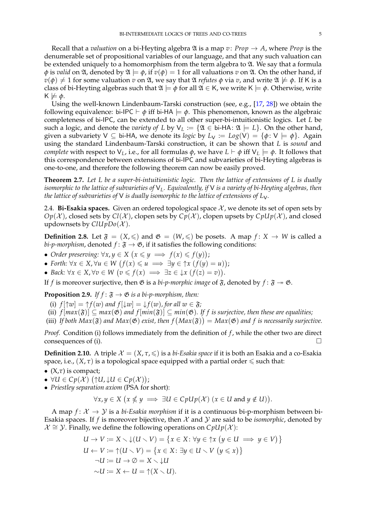Recall that a *valuation* on a bi-Heyting algebra  $\mathfrak A$  is a map  $v$ : *Prop*  $\rightarrow A$ , where *Prop* is the denumerable set of propositional variables of our language, and that any such valuation can be extended uniquely to a homomorphism from the term algebra to  $\mathfrak{A}$ . We say that a formula  $\phi$  is *valid* on  $\mathfrak{A}$ , denoted by  $\mathfrak{A} \models \phi$ , if  $v(\phi) = 1$  for all valuations *v* on  $\mathfrak{A}$ . On the other hand, if  $v(\phi) \neq 1$  for some valuation *v* on  $\mathfrak{A}$ , we say that  $\mathfrak{A}$  *refutes*  $\phi$  via *v*, and write  $\mathfrak{A} \not\models \phi$ . If K is a class of bi-Heyting algebras such that  $\mathfrak{A} \models \phi$  for all  $\mathfrak{A} \in K$ , we write  $K \models \phi$ . Otherwise, write  $K \not\models \phi.$ 

Using the well-known Lindenbaum-Tarski construction (see, e.g., [\[17,](#page-29-9) [28\]](#page-29-20)) we obtain the following equivalence: bi-IPC  $\vdash \phi$  iff bi-HA  $\models \phi$ . This phenomenon, known as the algebraic completeness of bi-IPC, can be extended to all other super-bi-intuitionistic logics. Let *L* be such a logic, and denote the *variety of L* by  $V_L := \{ \mathfrak{A} \in \mathfrak{b}$ i-HA:  $\mathfrak{A} \models L \}$ . On the other hand, given a subvariety  $V \subseteq b$ i-HA, we denote its *logic* by  $L_V := L \circ g(V) = {\phi : V \models \phi}$ . Again using the standard Lindenbaum-Tarski construction, it can be shown that *L* is *sound* and *complete* with respect to  $V_L$ , i.e., for all formulas  $\phi$ , we have  $L \vdash \phi$  iff  $V_L \models \phi$ . It follows that this correspondence between extensions of bi-IPC and subvarieties of bi-Heyting algebras is one-to-one, and therefore the following theorem can now be easily proved.

<span id="page-4-0"></span>**Theorem 2.7.** *Let L be a super-bi-intuitionistic logic. Then the lattice of extensions of L is dually isomorphic to the lattice of subvarieties of* V*L. Equivalently, if* V *is a variety of bi-Heyting algebras, then the lattice of subvarieties of* V *is dually isomorphic to the lattice of extensions of L*V*.*

2.4. **Bi-Esakia spaces.** Given an ordered topological space  $\chi$ , we denote its set of open sets by  $Op(X)$ , closed sets by  $Cl(X)$ , clopen sets by  $Cp(X)$ , clopen upsets by  $ChUp(X)$ , and closed updownsets by  $ClUpDo(X)$ .

**Definition 2.8.** Let  $\mathfrak{F} = (X, \leq)$  and  $\mathfrak{G} = (W, \leq)$  be posets. A map  $f: X \to W$  is called a *bi-p-morphism*, denoted  $f: \mathfrak{F} \to \mathfrak{G}$ , if it satisfies the following conditions:

- *Order preserving:*  $\forall x, y \in X \ (x \leq y \implies f(x) \leq f(y));$
- *Forth:*  $\forall x \in X, \forall u \in W$   $(f(x) \leq u \implies \exists y \in \uparrow x \ (f(y) = u));$
- *Back:*  $\forall x \in X, \forall v \in W \ (v \leq f(x) \implies \exists z \in \downarrow x \ (f(z) = v)).$

If *f* is moreover surjective, then  $\mathfrak{G}$  is a *bi-p-morphic image* of  $\mathfrak{F}$ , denoted by  $f: \mathfrak{F} \to \mathfrak{G}$ .

<span id="page-4-1"></span>**Proposition 2.9.** *If*  $f : \mathfrak{F} \to \mathfrak{G}$  *is a bi-p-morphism, then:* 

- (i)  $f[\uparrow w] = \uparrow f(w)$  and  $f[\downarrow w] = \downarrow f(w)$ , for all  $w \in \mathfrak{F}$ ;
- (ii)  $f[max(\mathfrak{F})] \subseteq max(\mathfrak{G})$  and  $f[min(\mathfrak{F})] \subseteq min(\mathfrak{G})$ . If f is surjective, then these are equalities;
- (iii) If both  $Max(\mathfrak{F})$  and  $Max(\mathfrak{G})$  exist, then  $f(Max(\mathfrak{F})) = Max(\mathfrak{G})$  and f is necessarily surjective.

*Proof.* Condition (i) follows immediately from the definition of *f*, while the other two are direct consequences of (i).  $\Box$ 

**Definition 2.10.** A triple  $\mathcal{X} = (X, \tau, \leq)$  is a *bi-Esakia space* if it is both an Esakia and a co-Esakia space, i.e.,  $(X, \tau)$  is a topological space equipped with a partial order  $\leq$  such that:

- (X,*τ*) is compact;
- $\bullet \ \forall U \in Cp(\mathcal{X}) \ (\uparrow U, \downarrow U \in Cp(\mathcal{X}));$
- *Priestley separation axiom* (PSA for short):

$$
\forall x, y \in X \ (x \nleq y \implies \exists U \in CpUp(\mathcal{X}) \ (x \in U \text{ and } y \notin U)).
$$

A map  $f: \mathcal{X} \to \mathcal{Y}$  is a *bi-Esakia morphism* if it is a continuous bi-p-morphism between bi-Esakia spaces. If  $f$  is moreover bijective, then  $\mathcal X$  and  $\mathcal Y$  are said to be *isomorphic*, denoted by  $\mathcal{X} \cong \mathcal{Y}$ . Finally, we define the following operations on *CpUp*( $\mathcal{X}$ ):

$$
U \to V := X \setminus \downarrow (U \setminus V) = \{x \in X : \forall y \in \uparrow x \ (y \in U \implies y \in V)\}
$$
  
\n
$$
U \leftarrow V := \uparrow (U \setminus V) = \{x \in X : \exists y \in U \setminus V \ (y \leq x)\}
$$
  
\n
$$
\neg U := U \to \emptyset = X \setminus \downarrow U
$$
  
\n
$$
\sim U := X \leftarrow U = \uparrow (X \setminus U).
$$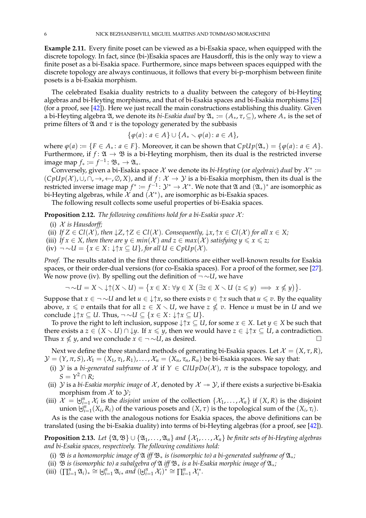**Example 2.11.** Every finite poset can be viewed as a bi-Esakia space, when equipped with the discrete topology. In fact, since (bi-)Esakia spaces are Hausdorff, this is the only way to view a finite poset as a bi-Esakia space. Furthermore, since maps between spaces equipped with the discrete topology are always continuous, it follows that every bi-p-morphism between finite posets is a bi-Esakia morphism.

The celebrated Esakia duality restricts to a duality between the category of bi-Heyting algebras and bi-Heyting morphisms, and that of bi-Esakia spaces and bi-Esakia morphisms [\[25\]](#page-29-3) (for a proof, see [\[42\]](#page-29-17)). Here we just recall the main constructions establishing this duality. Given a bi-Heyting algebra  $\mathfrak{A}$ , we denote its *bi-Esakia dual* by  $\mathfrak{A}_* := (A_*, \tau, \subseteq)$ , where  $A_*$  is the set of prime filters of  $\mathfrak A$  and  $\tau$  is the topology generated by the subbasis

$$
\{\varphi(a) \colon a \in A\} \cup \{A_* \smallsetminus \varphi(a) \colon a \in A\},\
$$

where  $\varphi(a) := \{F \in A_* : a \in F\}$ . Moreover, it can be shown that  $CpUp(\mathfrak{A}_*) = \{\varphi(a) : a \in A\}$ . Furthermore, if  $f: \mathfrak{A} \to \mathfrak{B}$  is a bi-Heyting morphism, then its dual is the restricted inverse image map  $f_* \coloneqq f^{-1} \colon \mathfrak{B}_* \to \mathfrak{A}_*.$ 

Conversely, given a bi-Esakia space  $\mathcal X$  we denote its *bi-Heyting* (or *algebraic*) *dual* by  $\mathcal X^*$  :=  $(\text{Cpl}\psi(X), \cup, \cap, \rightarrow, \leftarrow, \emptyset, X)$ , and if  $f: X \to Y$  is a bi-Esakia morphism, then its dual is the restricted inverse image map  $f^*:=f^{-1}\colon \mathcal{Y}^*\to \mathcal{X}^*.$  We note that  $\mathfrak A$  and  $(\mathfrak A_*)^*$  are isomorphic as bi-Heyting algebras, while  $\overline{\mathcal{X}}$  and  $(\mathcal{X}^*)_*$  are isomorphic as bi-Esakia spaces.

The following result collects some useful properties of bi-Esakia spaces.

<span id="page-5-1"></span>**Proposition 2.12.** *The following conditions hold for a bi-Esakia space*  $\mathcal{X}$ *:* 

- (i) X *is Hausdorff;*
- (ii) *If*  $Z \in \mathcal{Cl}(\mathcal{X})$ , then  $\downarrow Z$ ,  $\uparrow Z \in \mathcal{Cl}(\mathcal{X})$ . Consequently,  $\downarrow x$ ,  $\uparrow x \in \mathcal{Cl}(\mathcal{X})$  for all  $x \in X$ ;
- (iii) *If*  $x \in X$ *, then there are*  $y \in min(X)$  *and*  $z \in max(X)$  *satisfying*  $y \le x \le z$ *;*
- (iv)  $\neg \sim U = \{x \in X : \downarrow \uparrow x \subseteq U\}$ , for all  $U \in CpUp(X)$ .

*Proof.* The results stated in the first three conditions are either well-known results for Esakia spaces, or their order-dual versions (for co-Esakia spaces). For a proof of the former, see [\[27\]](#page-29-21). We now prove (iv). By spelling out the definition of ¬ ∼*U*, we have

$$
\neg \sim U = X \setminus \downarrow \uparrow (X \setminus U) = \{ x \in X \colon \forall y \in X \; (\exists z \in X \setminus U \; (z \leq y) \implies x \nleq y) \}.
$$

Suppose that  $x \in \neg \sim U$  and let  $u \in \downarrow \uparrow x$ , so there exists  $v \in \uparrow x$  such that  $u \leq v$ . By the equality above,  $x \leq v$  entails that for all  $z \in X \setminus U$ , we have  $z \nleq v$ . Hence *u* must be in *U* and we conclude  $\downarrow \uparrow x \subseteq U$ . Thus,  $\neg \sim U \subseteq \{x \in X : \downarrow \uparrow x \subseteq U\}$ .

To prove the right to left inclusion, suppose  $\downarrow \uparrow x \subseteq U$ , for some  $x \in X$ . Let  $y \in X$  be such that there exists a  $z \in (X \setminus U) \cap \downarrow y$ . If  $x \leq y$ , then we would have  $z \in \downarrow \uparrow x \subseteq U$ , a contradiction. Thus *x*  $\nleq y$ , and we conclude *x* ∈ ¬ ~*U*, as desired.

Next we define the three standard methods of generating bi-Esakia spaces. Let  $\mathcal{X} = (X, \tau, R)$ ,  $\mathcal{Y} = (Y, \pi, S), \mathcal{X}_1 = (X_1, \tau_1, R_1), \dots, \mathcal{X}_n = (X_n, \tau_n, R_n)$  be bi-Esakia spaces. We say that:

- (i) Y is a *bi-generated subframe* of X if  $Y \in ClUpDo(X)$ ,  $\pi$  is the subspace topology, and  $S = Y^2 \cap R$ ;
- (ii)  $Y$  is a *bi-Esakia morphic image* of  $X$ , denoted by  $X \rightarrow Y$ , if there exists a surjective bi-Esakia morphism from  $\mathcal X$  to  $\mathcal Y$ ;
- (iii)  $\mathcal{X} = \biguplus_{i=1}^{n} \mathcal{X}_i$  is the *disjoint union* of the collection  $\{\mathcal{X}_1, \ldots, \mathcal{X}_n\}$  if  $(X, R)$  is the disjoint union  $\biguplus_{i=1}^{n} (X_i, R_i)$  of the various posets and  $(X, \tau)$  is the topological sum of the  $(X_i, \tau_i)$ .

As is the case with the analogous notions for Esakia spaces, the above definitions can be translated (using the bi-Esakia duality) into terms of bi-Heyting algebras (for a proof, see [\[42\]](#page-29-17)).

<span id="page-5-0"></span>**Proposition 2.13.** *Let*  $\{\mathfrak{A}, \mathfrak{B}\}\cup \{\mathfrak{A}_1, \ldots, \mathfrak{A}_n\}$  and  $\{\mathcal{X}_1, \ldots, \mathcal{X}_n\}$  be finite sets of bi-Heyting algebras *and bi-Esakia spaces, respectively. The following conditions hold:*

- (i) B *is a homomorphic image of* A *iff* B<sup>∗</sup> *is (isomorphic to) a bi-generated subframe of* A∗*;*
- (ii)  $\mathfrak B$  *is (isomorphic to) a subalgebra of*  $\mathfrak A$  *iff*  $\mathfrak B_*$  *is a bi-Esakia morphic image of*  $\mathfrak A_*$ *;*
- (iii)  $(\prod_{i=1}^{n} \mathfrak{A}_{i})_{*} \cong \biguplus_{i=1}^{n} \mathfrak{A}_{i*}$  and  $(\biguplus_{i=1}^{n} \mathcal{X}_{i})^{*} \cong \prod_{i=1}^{n} \mathcal{X}_{i}^{*}.$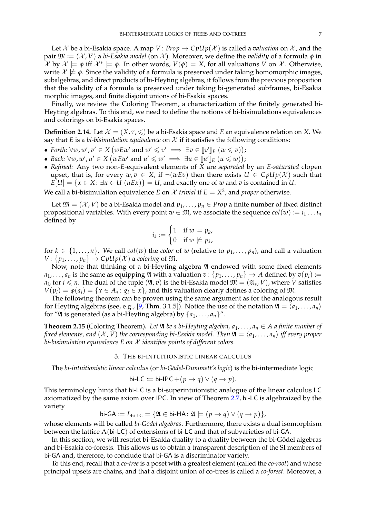Let X be a bi-Esakia space. A map  $V: Prop \rightarrow CpUp(X)$  is called a *valuation* on X, and the pair  $\mathfrak{M} := (\mathcal{X}, V)$  a *bi-Esakia model* (on  $\mathcal{X}$ ). Moreover, we define the *validity* of a formula  $\phi$  in  $\hat{\mathcal{X}}$  by  $\mathcal{X} \models \phi$  iff  $\mathcal{X}^* \models \phi$ . In other words,  $V(\phi) = X$ , for all valuations  $V$  on  $\mathcal{X}$ . Otherwise, write  $\mathcal{X} \not\models \phi$ . Since the validity of a formula is preserved under taking homomorphic images, subalgebras, and direct products of bi-Heyting algebras, it follows from the previous proposition that the validity of a formula is preserved under taking bi-generated subframes, bi-Esakia morphic images, and finite disjoint unions of bi-Esakia spaces.

Finally, we review the Coloring Theorem, a characterization of the finitely generated bi-Heyting algebras. To this end, we need to define the notions of bi-bisimulations equivalences and colorings on bi-Esakia spaces.

<span id="page-6-1"></span>**Definition 2.14.** Let  $\mathcal{X} = (X, \tau, \leq)$  be a bi-Esakia space and *E* an equivalence relation on *X*. We say that *E* is a *bi-bisimulation equivalence* on  $X$  if it satisfies the following conditions:

- *Forth:*  $\forall w, w', v' \in X$  (*wEw'* and  $w' \leq v' \implies \exists v \in [v']_E$   $(w \leq v)$ );
- *Back:*  $\forall w, w', u' \in X$  (*wEw'* and  $u' \leq w' \implies \exists u \in [\![u']\!]_E$   $(u \leq w)$ );<br>• *Refined:* Apy two pop-E-oquivalent elements of X are congrated
- *Refined:* Any two non-*E*-equivalent elements of *X* are *separated* by an *E-saturated* clopen upset, that is, for every  $w, v \in X$ , if  $\neg(wEv)$  then there exists  $U \in CpUp(X)$  such that  $E[U] = \{x \in X : \exists u \in U \ (uEx)\} = U$ , and exactly one of *w* and *v* is contained in *U*.

We call a bi-bisimulation equivalence *E* on *X trivial* if  $E = X^2$ , and *proper* otherwise.

Let  $\mathfrak{M} = (\mathcal{X}, V)$  be a bi-Esakia model and  $p_1, \ldots, p_n \in Prop$  a finite number of fixed distinct propositional variables. With every point  $w \in \mathfrak{M}$ , we associate the sequence  $col(w) := i_1 \dots i_n$ defined by

$$
i_k := \begin{cases} 1 & \text{if } w \models p_k, \\ 0 & \text{if } w \not\models p_k, \end{cases}
$$

for  $k \in \{1, ..., n\}$ . We call  $col(w)$  the *color* of *w* (relative to  $p_1, ..., p_n$ ), and call a valuation  $V: \{p_1, \ldots, p_n\} \to CpUp(\mathcal{X})$  a *coloring* of  $\mathfrak{M}$ .

Now, note that thinking of a bi-Heyting algebra  $\mathfrak A$  endowed with some fixed elements  $a_1, \ldots, a_n$  is the same as equipping  $\mathfrak A$  with a valuation  $v: \{p_1, \ldots, p_n\} \to A$  defined by  $v(p_i) :=$  $a_i$ , for  $i \leq n$ . The dual of the tuple  $(\mathfrak{A}, v)$  is the bi-Esakia model  $\mathfrak{M} = (\mathfrak{A}_*, V)$ , where *V* satisfies  $V(p_i) = \varphi(a_i) = \{x \in A_* : g_i \in x\}$ , and this valuation clearly defines a coloring of  $M$ .

The following theorem can be proven using the same argument as for the analogous result for Heyting algebras (see, e.g., [\[9,](#page-28-13) Thm. 3.1.5]). Notice the use of the notation  $\mathfrak{A} = \langle a_1, \ldots, a_n \rangle$ for "2l is generated (as a bi-Heyting algebra) by  $\{a_1, \ldots, a_n\}$ ".

<span id="page-6-0"></span>**Theorem 2.15** (Coloring Theorem). Let  $\mathfrak A$  *be a bi-Heyting algebra,*  $a_1, \ldots, a_n \in A$  *a finite number of fixed elements, and*  $(X, V)$  *the corresponding bi-Esakia model. Then*  $\mathfrak{A} = \langle a_1, \ldots, a_n \rangle$  *iff every proper bi-bisimulation equivalence E on* X *identifies points of different colors.*

3. THE BI-INTUITIONISTIC LINEAR CALCULUS

The *bi-intuitionistic linear calculus* (or *bi-Gödel-Dummett's logic*) is the bi-intermediate logic

$$
\text{bi-LC} := \text{bi-IPC} + (p \to q) \lor (q \to p).
$$

This terminology hints that bi-LC is a bi-superintuionistic analogue of the linear calculus LC axiomatized by the same axiom over IPC. In view of Theorem [2.7,](#page-4-0) bi-LC is algebraized by the variety

 $\mathsf{bi}\text{-}\mathsf{GA} := L_{\mathsf{bi}\text{-}\mathsf{LC}} = \{ \mathfrak{A} \in \mathsf{bi}\text{-}\mathsf{HA} : \mathfrak{A} \models (p \rightarrow q) \lor (q \rightarrow p) \},\$ 

whose elements will be called *bi-Gödel algebras*. Furthermore, there exists a dual isomorphism between the lattice  $\Lambda$ (bi-LC) of extensions of bi-LC and that of subvarieties of bi-GA.

In this section, we will restrict bi-Esakia duality to a duality between the bi-Gödel algebras and bi-Esakia co-forests. This allows us to obtain a transparent description of the SI members of bi-GA and, therefore, to conclude that bi-GA is a discriminator variety.

To this end, recall that a *co-tree* is a poset with a greatest element (called the *co-root*) and whose principal upsets are chains, and that a disjoint union of co-trees is called a *co-forest*. Moreover, a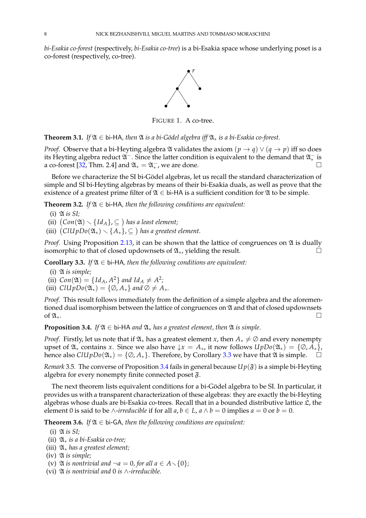*bi-Esakia co-forest* (respectively, *bi-Esakia co-tree*) is a bi-Esakia space whose underlying poset is a co-forest (respectively, co-tree).



FIGURE 1. A co-tree.

<span id="page-7-2"></span>**Theorem 3.1.** *If*  $\mathfrak{A} \in$  bi-HA, then  $\mathfrak{A}$  *is a bi-Gödel algebra iff*  $\mathfrak{A}_*$  *is a bi-Esakia co-forest.* 

*Proof.* Observe that a bi-Heyting algebra  $\mathfrak A$  validates the axiom  $(p \to q) \vee (q \to p)$  iff so does its Heyting algebra reduct  $\mathfrak{A}^-$ . Since the latter condition is equivalent to the demand that  $\mathfrak{A}^-_*$  is a co-forest [\[32,](#page-29-22) Thm. 2.4] and  $\mathfrak{A}_* = \mathfrak{A}_*^-$ , we are done.

Before we characterize the SI bi-Gödel algebras, let us recall the standard characterization of simple and SI bi-Heyting algebras by means of their bi-Esakia duals, as well as prove that the existence of a greatest prime filter of  $\mathfrak{A} \in$  bi-HA is a sufficient condition for  $\mathfrak{A}$  to be simple.

<span id="page-7-3"></span>**Theorem 3.2.** *If*  $\mathfrak{A} \in$  bi-HA, then the following conditions are equivalent:

(i) A *is SI;*

(ii)  $(Con(\mathfrak{A}) \setminus \{Id_A\}, \subseteq)$  has a least element;

(iii)  $\left(\text{ClUpDo}(\mathfrak{A}_*)\smallsetminus \{A_*\}, \subseteq \right)$  has a greatest element.

*Proof.* Using Proposition [2.13,](#page-5-0) it can be shown that the lattice of congruences on  $\mathfrak A$  is dually isomorphic to that of closed updownsets of  $\mathfrak{A}_*$ , yielding the result.  $□$ 

<span id="page-7-0"></span>**Corollary 3.3.** *If*  $\mathfrak{A} \in$  bi-HA, then the following conditions are equivalent:

- (i) A *is simple;*
- (ii)  $Con(\mathfrak{A}) = \{Id_A, A^2\}$  and  $Id_A \neq A^2$ ;
- (iii)  $ClUpDo(\mathfrak{A}_*) = {\emptyset, A_*}$  *and*  $\emptyset \neq A_*$ *.*

*Proof.* This result follows immediately from the definition of a simple algebra and the aforementioned dual isomorphism between the lattice of congruences on  $\mathfrak A$  and that of closed updownsets of  $\mathfrak{A}_*$ .  $\Box$ 

<span id="page-7-1"></span>**Proposition 3.4.** *If*  $\mathfrak{A} \in \mathfrak{b}$ *i*-HA *and*  $\mathfrak{A}_*$  *has a greatest element, then*  $\mathfrak{A}$  *is simple.* 

*Proof.* Firstly, let us note that if  $\mathfrak{A}_*$  has a greatest element *x*, then  $A_* \neq \emptyset$  and every nonempty upset of  $\mathfrak{A}_*$  contains *x*. Since we also have  $\downarrow x = A_*,$  it now follows  $UpDo(\mathfrak{A}_*) = {\emptyset, A_*}$ , hence also  $ClUpDo(\mathfrak{A}_*) = {\emptyset, A_*}$ . Therefore, by Corollary [3.3](#page-7-0) we have that  $\mathfrak A$  is simple.  $\Box$ 

*Remark* 3.5. The converse of Proposition [3.4](#page-7-1) fails in general because  $Up(\mathfrak{F})$  is a simple bi-Heyting algebra for every nonempty finite connected poset  $\mathfrak{F}.$ 

The next theorem lists equivalent conditions for a bi-Gödel algebra to be SI. In particular, it provides us with a transparent characterization of these algebras: they are exactly the bi-Heyting algebras whose duals are bi-Esakia co-trees. Recall that in a bounded distributive lattice  $\mathfrak L$ , the element 0 is said to be  $\wedge$ -*irreducible* if for all  $a, b \in L$ ,  $a \wedge b = 0$  implies  $a = 0$  or  $b = 0$ .

<span id="page-7-4"></span>**Theorem 3.6.** *If*  $\mathfrak{A} \in$  bi-GA, then the following conditions are equivalent:

- (i) A *is SI;*
- (ii) A<sup>∗</sup> *is a bi-Esakia co-tree;*
- (iii) A<sup>∗</sup> *has a greatest element;*
- (iv) A *is simple;*
- (v)  $\mathfrak A$  *is nontrivial and*  $\neg a = 0$ *, for all*  $a \in A \setminus \{0\}$ *;*
- (vi) A *is nontrivial and* 0 *is* ∧*-irreducible.*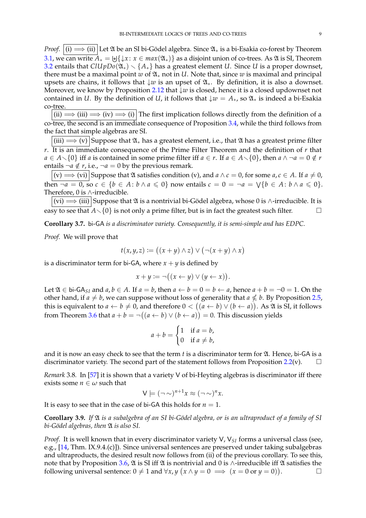*Proof.*  $(i) \implies (ii)$  Let  $\mathfrak A$  be an SI bi-Gödel algebra. Since  $\mathfrak A_*$  is a bi-Esakia co-forest by Theorem [3.1,](#page-7-2) we can write  $A_* = \biguplus \{\downarrow x \colon x \in max(\mathfrak{A}_*)\}$  as a disjoint union of co-trees. As  $\mathfrak A$  is SI, Theorem [3.2](#page-7-3) entails that  $ClUpDo(\mathfrak{A}_*) \setminus \{A_*\}$  has a greatest element *U*. Since *U* is a proper downset, there must be a maximal point *w* of  $\mathfrak{A}_*$  not in *U*. Note that, since *w* is maximal and principal upsets are chains, it follows that ↓*w* is an upset of A∗. By definition, it is also a downset. Moreover, we know by Proposition [2.12](#page-5-1) that ↓*w* is closed, hence it is a closed updownset not contained in *U*. By the definition of *U*, it follows that  $\downarrow w = A_*$ , so  $\mathfrak{A}_*$  is indeed a bi-Esakia co-tree.

(ii)  $\implies$  (iii)  $\implies$  (iv)  $\implies$  (i) The first implication follows directly from the definition of a co-tree, the second is an immediate consequence of Proposition [3.4,](#page-7-1) while the third follows from the fact that simple algebras are SI.

 $\overline{(iii) \Longrightarrow (v)}$  Suppose that  $\mathfrak{A}_*$  has a greatest element, i.e., that  $\mathfrak A$  has a greatest prime filter *r*. It is an immediate consequence of the Prime Filter Theorem and the definition of *r* that *a* ∈ *A* $\setminus$ {0} iff *a* is contained in some prime filter iff *a* ∈ *r*. If *a* ∈ *A* $\setminus$ {0}, then *a* ∧ ¬*a* = 0 ∉ *r* entails  $\neg a \notin r$ , i.e.,  $\neg a = 0$  by the previous remark.

 $\boxed{(v) \Longrightarrow (vi)}$  Suppose that  $\mathfrak A$  satisfies condition  $(v)$ , and  $a \wedge c = 0$ , for some  $a, c \in A$ . If  $a \neq 0$ , then  $\neg a = 0$ , so  $c \in \{b \in A : b \wedge a \leq 0\}$  now entails  $c = 0 = \neg a = \vee \{b \in A : b \wedge a \leq 0\}.$ Therefore, 0 is ∧-irreducible.

 $|v\rangle \implies$  (iii) Suppose that  $\mathfrak A$  is a nontrivial bi-Gödel algebra, whose 0 is ∧-irreducible. It is easy to see that  $A \setminus \{0\}$  is not only a prime filter, but is in fact the greatest such filter.

<span id="page-8-0"></span>**Corollary 3.7.** bi-GA *is a discriminator variety. Consequently, it is semi-simple and has EDPC.*

*Proof.* We will prove that

$$
t(x,y,z) := ((x+y) \wedge z) \vee (\neg(x+y) \wedge x)
$$

is a discriminator term for bi-GA, where  $x + y$  is defined by

$$
x + y := \neg((x \leftarrow y) \vee (y \leftarrow x)).
$$

Let  $\mathfrak{A} \in$  bi-GA<sub>SI</sub> and *a*, *b* ∈ *A*. If *a* = *b*, then *a* ← *b* = 0 = *b* ← *a*, hence *a* + *b* = ¬0 = 1. On the other hand, if  $a \neq b$ , we can suppose without loss of generality that  $a \nleq b$ . By Proposition [2.5,](#page-3-0) this is equivalent to  $a \leftarrow b \neq 0$ , and therefore  $0 < ((a \leftarrow b) \vee (b \leftarrow a))$ . As  $\mathfrak A$  is SI, it follows from Theorem [3.6](#page-7-4) that  $a + b = \neg((a \leftarrow b) \vee (b \leftarrow a)) = 0$ . This discussion yields

$$
a + b = \begin{cases} 1 & \text{if } a = b, \\ 0 & \text{if } a \neq b, \end{cases}
$$

and it is now an easy check to see that the term *t* is a discriminator term for  $\mathfrak{A}$ . Hence, bi-GA is a discriminator variety. The second part of the statement follows from Proposition [2.2\(](#page-2-0)v).  $\square$ 

*Remark* 3.8*.* In [\[57\]](#page-30-4) it is shown that a variety V of bi-Heyting algebras is discriminator iff there exists some  $n \in \omega$  such that

$$
V \models (\neg \sim)^{n+1} x \approx (\neg \sim)^n x.
$$

It is easy to see that in the case of bi-GA this holds for  $n = 1$ .

<span id="page-8-1"></span>**Corollary 3.9.** *If* A *is a subalgebra of an SI bi-G¨odel algebra, or is an ultraproduct of a family of SI bi-G¨odel algebras, then* A *is also SI.*

*Proof.* It is well known that in every discriminator variety V, V<sub>SI</sub> forms a universal class (see, e.g., [\[14,](#page-28-10) Thm. IX.9.4.(c)]). Since universal sentences are preserved under taking subalgebras and ultraproducts, the desired result now follows from (ii) of the previous corollary. To see this, note that by Proposition [3.6,](#page-7-4)  $\mathfrak A$  is SI iff  $\mathfrak A$  is nontrivial and 0 is ∧-irreducible iff  $\mathfrak A$  satisfies the following universal sentence:  $0 \neq 1$  and  $\forall x, y \ (x \land y = 0 \implies (x = 0 \text{ or } y = 0))$ . — П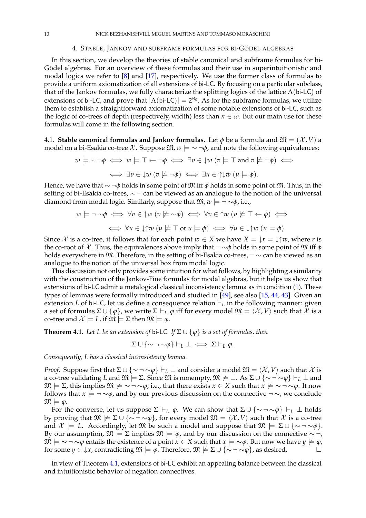#### 4. STABLE, JANKOV AND SUBFRAME FORMULAS FOR BI-GÖDEL ALGEBRAS

In this section, we develop the theories of stable canonical and subframe formulas for bi-Gödel algebras. For an overview of these formulas and their use in superintuitionistic and modal logics we refer to [\[8\]](#page-28-8) and [\[17\]](#page-29-9), respectively. We use the former class of formulas to provide a uniform axiomatization of all extensions of bi-LC. By focusing on a particular subclass, that of the Jankov formulas, we fully characterize the splitting logics of the lattice  $\Lambda$ (bi-LC) of extensions of bi-LC, and prove that  $|\Lambda(\text{bi-LC})| = 2^{\aleph_0}$ . As for the subframe formulas, we utilize them to establish a straightforward axiomatization of some notable extensions of bi-LC, such as the logic of co-trees of depth (respectively, width) less than  $n \in \omega$ . But our main use for these formulas will come in the following section.

4.1. **Stable canonical formulas and Jankov formulas.** Let  $\phi$  be a formula and  $\mathfrak{M} = (\mathcal{X}, V)$  a model on a bi-Esakia co-tree X. Suppose  $\mathfrak{M}, w \models \sim \neg \phi$ , and note the following equivalences:

$$
w \models \sim \neg \phi \iff w \models \top \leftarrow \neg \phi \iff \exists v \in \downarrow w \ (v \models \top \text{ and } v \not\models \neg \phi) \iff \exists v \in \downarrow w \ (v \not\models \neg \phi) \iff \exists v \in \bot w \ (v \not\models \neg \phi) \iff \exists u \in \uparrow \downarrow w \ (u \models \phi).
$$

Hence, we have that ∼ ¬*φ* holds in some point of M iff *φ* holds in some point of M. Thus, in the setting of bi-Esakia co-trees,  $\sim$  ¬ can be viewed as an analogue to the notion of the universal diamond from modal logic. Similarly, suppose that  $\mathfrak{M}, w \models \neg \sim \phi$ , i.e.,

$$
w \models \neg \sim \phi \iff \forall v \in \uparrow w \ (v \not\models \sim \phi) \iff \forall v \in \uparrow w \ (v \not\models \top \leftarrow \phi) \iff
$$

$$
\iff \forall u \in \downarrow \uparrow w \ (u \not\models \top \text{ or } u \models \phi) \iff \forall u \in \downarrow \uparrow w \ (u \models \phi).
$$

Since X is a co-tree, it follows that for each point  $w \in X$  we have  $X = \frac{1}{x}r = \frac{1}{w}w$ , where r is the co-root of X. Thus, the equivalences above imply that  $\neg \sim \phi$  holds in some point of M iff  $\phi$ holds everywhere in  $M$ . Therefore, in the setting of bi-Esakia co-trees,  $\neg \sim$  can be viewed as an analogue to the notion of the universal box from modal logic.

This discussion not only provides some intuition for what follows, by highlighting a similarity with the construction of the Jankov-Fine formulas for modal algebras, but it helps us show that extensions of bi-LC admit a metalogical classical inconsistency lemma as in condition [\(1\)](#page-1-0). These types of lemmas were formally introduced and studied in [\[49\]](#page-29-14), see also [\[15,](#page-28-7) [44,](#page-29-15) [43\]](#page-29-16). Given an extension *L* of bi-LC, let us define a consequence relation  $\vdash_L$  in the following manner: given a set of formulas  $\Sigma \cup {\varphi}$ , we write  $\Sigma \vdash_L \varphi$  iff for every model  $\mathfrak{M} = \langle \mathcal{X}, V \rangle$  such that X is a co-tree and  $\mathcal{X} \models L$ , if  $\mathfrak{M} \models \Sigma$  then  $\mathfrak{M} \models \varphi$ .

<span id="page-9-0"></span>**Theorem 4.1.** *Let L be an extension of bi-LC. If*  $\Sigma \cup \{\varphi\}$  *is a set of formulas, then* 

$$
\Sigma \cup \{\sim \neg \sim \varphi\} \vdash_L \bot \iff \Sigma \vdash_L \varphi.
$$

*Consequently, L has a classical inconsistency lemma.*

*Proof.* Suppose first that  $\Sigma \cup {\sim \neg \sim \varphi}$   $\vdash_L \bot$  and consider a model  $\mathfrak{M} = \langle \mathcal{X}, V \rangle$  such that X is a co-tree validating *L* and  $\mathfrak{M} \models \Sigma$ . Since  $\mathfrak{M}$  is nonempty,  $\mathfrak{M} \not\models \bot$ . As  $\Sigma \cup \{\sim \neg \sim \varphi\} \vdash_L \bot$  and  $\mathfrak{M} \models \Sigma$ , this implies  $\mathfrak{M} \not\models \sim \neg \sim \varphi$ , i.e., that there exists  $x \in X$  such that  $x \not\models \sim \neg \sim \varphi$ . It now follows that  $x \models \neg \sim \varphi$ , and by our previous discussion on the connective  $\neg \sim$ , we conclude  $\mathfrak{M} \models \varphi.$ 

For the converse, let us suppose  $\Sigma \vdash_L \varphi$ . We can show that  $\Sigma \cup {\sim \neg \sim \varphi} \vdash_L \bot$  holds by proving that  $\mathfrak{M} \not\models \Sigma \cup \{\sim \neg \sim \varphi\}$ , for every model  $\mathfrak{M} = \langle \mathcal{X}, V \rangle$  such that X is a co-tree and  $\mathcal{X} \models L$ . Accordingly, let  $\mathfrak{M}$  be such a model and suppose that  $\mathfrak{M} \models \Sigma \cup \{\sim \neg \sim \varphi\}.$ By our assumption,  $\mathfrak{M} \models \Sigma$  implies  $\mathfrak{M} \models \varphi$ , and by our discussion on the connective  $\sim \neg$ ,  $\mathfrak{M} \models \sim \neg \sim \varphi$  entails the existence of a point *x* ∈ *X* such that *x*  $\models \sim \varphi$ . But now we have *y* ⊭  $\varphi$ , for some  $y \in \downarrow x$ , contradicting  $\mathfrak{M} \models \varphi$ . Therefore,  $\mathfrak{M} \not\models \Sigma \cup \{\sim \neg \sim \varphi\}$ , as desired.

In view of Theorem [4.1,](#page-9-0) extensions of bi-LC exhibit an appealing balance between the classical and intuitionistic behavior of negation connectives.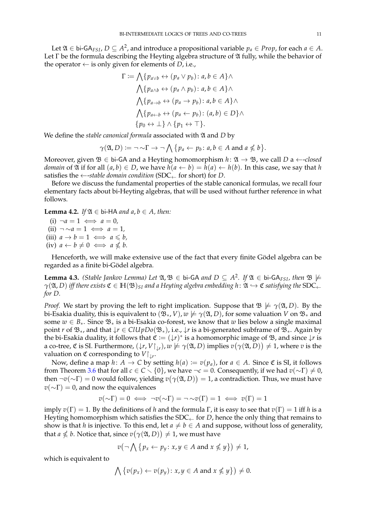Let  $\mathfrak{A}\in$  bi-GA<sub>FSI</sub>,  $D\subseteq A^2$ , and introduce a propositional variable  $p_a\in Prop$ , for each  $a\in A.$ Let  $\Gamma$  be the formula describing the Heyting algebra structure of  $\mathfrak A$  fully, while the behavior of the operator  $\leftarrow$  is only given for elements of *D*, i.e.,

$$
\Gamma := \bigwedge \{p_{a \lor b} \leftrightarrow (p_a \lor p_b) : a, b \in A\} \land
$$
  

$$
\bigwedge \{p_{a \land b} \leftrightarrow (p_a \land p_b) : a, b \in A\} \land
$$
  

$$
\bigwedge \{p_{a \to b} \leftrightarrow (p_a \to p_b) : a, b \in A\} \land
$$
  

$$
\bigwedge \{p_{a \leftarrow b} \leftrightarrow (p_a \leftarrow p_b) : (a, b) \in D\} \land
$$
  

$$
\{p_0 \leftrightarrow \bot\} \land \{p_1 \leftrightarrow \top\}.
$$

We define the *stable canonical formula* associated with  $\mathfrak A$  and *D* by

$$
\gamma(\mathfrak{A}, D) := \neg \sim \Gamma \to \neg \bigwedge \{p_a \leftarrow p_b \colon a, b \in A \text{ and } a \nleq b\}.
$$

Moreover, given  $\mathfrak{B} \in$  bi-GA and a Heyting homomorphism  $h: \mathfrak{A} \to \mathfrak{B}$ , we call *D* a  $\leftarrow$ *-closed domain* of  $\mathfrak A$  if for all  $(a, b) \in D$ , we have  $h(a \leftarrow b) = h(a) \leftarrow h(b)$ . In this case, we say that *h* satisfies the  $\leftarrow$ -*stable domain condition* (SDC<sub>←</sub> for short) for *D*.

Before we discuss the fundamental properties of the stable canonical formulas, we recall four elementary facts about bi-Heyting algebras, that will be used without further reference in what follows.

<span id="page-10-1"></span>**Lemma 4.2.** *If*  $\mathfrak{A} \in$  bi-HA *and a*,  $b \in A$ , *then:* 

 $(i) \neg a = 1 \iff a = 0$  $(ii) \neg \sim a = 1 \iff a = 1,$  $(iii)$   $a \rightarrow b = 1 \iff a \leq b$ ,  $(iv)$   $a \leftarrow b \neq 0 \iff a \nleq b.$ 

Henceforth, we will make extensive use of the fact that every finite Gödel algebra can be regarded as a finite bi-Gödel algebra.

<span id="page-10-0"></span>**Lemma 4.3.** *(Stable Jankov Lemma) Let*  $\mathfrak{A}, \mathfrak{B} \in$  bi-GA *and*  $D \subseteq A^2$ . If  $\mathfrak{A} \in$  bi-GA<sub>FSI</sub>, then  $\mathfrak{B} \not\models$  $\gamma(\mathfrak{A}, D)$  *iff there exists*  $\mathfrak{C} \in \mathbb{H}(\mathfrak{B})_{SI}$  *and a Heyting algebra embedding h*:  $\mathfrak{A} \hookrightarrow \mathfrak{C}$  *satisfying the* SDC<sub>←</sub> *for D.*

*Proof.* We start by proving the left to right implication. Suppose that  $\mathcal{B} \not\models \gamma(\mathfrak{A}, D)$ . By the bi-Esakia duality, this is equivalent to  $(\mathfrak{B}_*, V)$ ,  $w \not\models \gamma(\mathfrak{A}, D)$ , for some valuation *V* on  $\mathfrak{B}_*$  and some  $w \in B_*$ . Since  $\mathfrak{B}_*$  is a bi-Esakia co-forest, we know that *w* lies below a single maximal point *r* of B∗, and that ↓*r* ∈ *ClU pDo*(B∗), i.e., ↓*r* is a bi-generated subframe of B∗. Again by the bi-Esakia duality, it follows that  $\mathfrak{C} := (\downarrow \! r)^*$  is a homomorphic image of  $\mathfrak B$ , and since  $\downarrow \! r$  is a co-tree,  $\mathfrak C$  is SI. Furthermore,  $(\downarrow r, V\upharpoonright_{\downarrow r})$ ,  $w \not\models \gamma(\mathfrak A, D)$  implies  $v(\gamma(\mathfrak A, D)) \neq 1$ , where  $v$  is the **valuation on ℭ corresponding to**  $V|_{\downarrow r}$ **.** 

Now, define a map *h*: *A*  $\rightarrow$  *C* by setting *h*(*a*) := *v*(*p<sub>a</sub>*), for *a*  $\in$  *A*. Since  $\mathfrak{C}$  is SI, it follows from Theorem [3.6](#page-7-4) that for all  $c \in C \setminus \{0\}$ , we have  $\neg c = 0$ . Consequently, if we had  $v(\sim \Gamma) \neq 0$ , then  $\neg v(\sim\!\Gamma)=0$  would follow, yielding  $v\big(\gamma({\mathfrak A},D)\big)=1$ , a contradiction. Thus, we must have  $v(\sim\Gamma) = 0$ , and now the equivalences

$$
v(\sim\Gamma) = 0 \iff \neg v(\sim\Gamma) = \neg \sim v(\Gamma) = 1 \iff v(\Gamma) = 1
$$

imply  $v(\Gamma) = 1$ . By the definitions of *h* and the formula Γ, it is easy to see that  $v(\Gamma) = 1$  iff *h* is a Heyting homomorphism which satisfies the  $SDC<sub>+</sub>$  for *D*, hence the only thing that remains to show is that *h* is injective. To this end, let  $a \neq b \in A$  and suppose, without loss of generality, that  $a \nleq b$ . Notice that, since  $v(\gamma(\mathfrak{A},D)) \neq 1$ , we must have

$$
v(\neg \bigwedge \{p_x \leftarrow p_y \colon x, y \in A \text{ and } x \nleq y\}) \neq 1,
$$

which is equivalent to

$$
\bigwedge \{v(p_x) \leftarrow v(p_y) \colon x, y \in A \text{ and } x \nleq y\}\big) \neq 0.
$$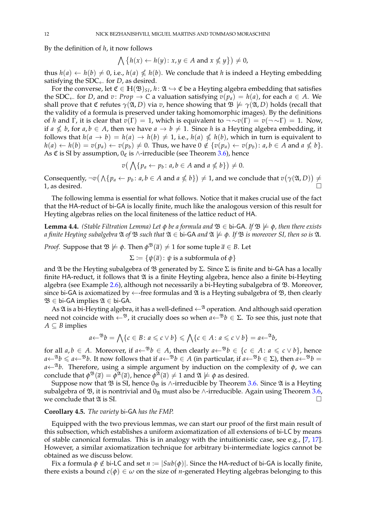By the definition of *h*, it now follows

$$
\bigwedge \{h(x) \leftarrow h(y) \colon x, y \in A \text{ and } x \nleq y\} \big) \neq 0,
$$

thus  $h(a) \leftarrow h(b) \neq 0$ , i.e.,  $h(a) \nleq h(b)$ . We conclude that *h* is indeed a Heyting embedding satisfying the  $SDC_{\leftarrow}$  for *D*, as desired.

For the converse, let  $\mathfrak{C} \in \mathbb{H}(\mathfrak{B})_{\text{SL}}$ ,  $h: \mathfrak{A} \hookrightarrow \mathfrak{C}$  be a Heyting algebra embedding that satisfies the SDC<sub>←</sub> for *D*, and *v*: *Prop*  $\rightarrow$  *C* a valuation satisfying  $v(p_a) = h(a)$ , for each  $a \in A$ . We shall prove that  $\mathfrak C$  refutes  $\gamma(\mathfrak A, D)$  via *v*, hence showing that  $\mathfrak B \not\models \gamma(\mathfrak A, D)$  holds (recall that the validity of a formula is preserved under taking homomorphic images). By the definitions of *h* and Γ, it is clear that  $v(\Gamma) = 1$ , which is equivalent to  $\neg \sim v(\Gamma) = v(\neg \sim \Gamma) = 1$ . Now, if  $a \nleq b$ , for  $a, b \in A$ , then we have  $a \to b \neq 1$ . Since *h* is a Heyting algebra embedding, it follows that  $h(a \to b) = h(a) \to h(b) \neq 1$ , i.e.,  $h(a) \nleq h(b)$ , which in turn is equivalent to  $h(a) \leftarrow h(b) = v(p_a) \leftarrow v(p_b) \neq 0$ . Thus, we have  $0 \notin \{v(p_a) \leftarrow v(p_b) : a, b \in A$  and  $a \nleq b\}$ . As  $\mathfrak C$  is SI by assumption,  $0_{\mathfrak C}$  is ∧-irreducible (see Theorem [3.6\)](#page-7-4), hence

$$
v(\bigwedge \{p_a \leftarrow p_b \colon a, b \in A \text{ and } a \nleq b\}) \neq 0.
$$

Consequently,  $\neg v \big(\bigwedge \{p_a \leftarrow p_b \colon a, b \in A \text{ and } a \nleq b\}\big) \neq 1$ , and we conclude that  $v(\gamma(\mathfrak{A}, D)) \neq 0$ 1, as desired.

The following lemma is essential for what follows. Notice that it makes crucial use of the fact that the HA-reduct of bi-GA is locally finite, much like the analogous version of this result for Heyting algebras relies on the local finiteness of the lattice reduct of HA.

<span id="page-11-0"></span>**Lemma 4.4.** *(Stable Filtration Lemma) Let*  $\phi$  *be a formula and*  $\mathcal{B} \in$  bi-GA. If  $\mathcal{B} \not\models \phi$ *, then there exists a finite Heyting subalgebra*  $\mathfrak A$  *of*  $\mathfrak B$  *such that*  $\mathfrak A \in$  **bi-GA** *and*  $\mathfrak A \not\models \phi$ *. If*  $\mathfrak B$  *is moreover SI, then so is*  $\mathfrak A$ *.* 

*Proof.* Suppose that  $\mathfrak{B} \not\models \phi$ . Then  $\phi^{\mathfrak{B}}(\overline{a}) \neq 1$  for some tuple  $\overline{a} \in B$ . Let

 $\Sigma := \{\psi(\overline{a}) : \psi \text{ is a subformula of } \phi\}$ 

and  $\mathfrak A$  be the Heyting subalgebra of  $\mathfrak B$  generated by  $\Sigma$ . Since  $\Sigma$  is finite and bi-GA has a locally finite HA-reduct, it follows that  $\mathfrak A$  is a finite Heyting algebra, hence also a finite bi-Heyting algebra (see Example [2.6\)](#page-3-1), although not necessarily a bi-Heyting subalgebra of  $\mathfrak B$ . Moreover, since bi-GA is axiomatized by  $\leftarrow$ -free formulas and  $\mathfrak A$  is a Heyting subalgebra of  $\mathfrak B$ , then clearly  $\mathfrak{B} \in$  bi-GA implies  $\mathfrak{A} \in$  bi-GA.

As  $\mathfrak A$  is a bi-Heyting algebra, it has a well-defined  $\leftarrow^{\mathfrak A}$  operation. And although said operation need not coincide with  $\leftarrow^{B}$ , it crucially does so when  $a \leftarrow^{B} b \in \Sigma$ . To see this, just note that  $A \subseteq B$  implies

$$
a \leftarrow^{\mathfrak{B}} b = \bigwedge \{c \in B \colon a \leq c \vee b\} \leq \bigwedge \{c \in A \colon a \leq c \vee b\} = a \leftarrow^{\mathfrak{A}} b,
$$

for all  $a, b \in A$ . Moreover, if  $a \leftarrow^{B} b \in A$ , then clearly  $a \leftarrow^{B} b \in \{c \in A : a \leq c \vee b\}$ , hence  $a \leftarrow^{ \mathfrak{A}} b \leqslant a \leftarrow^{ \mathfrak{B}} b$ . It now follows that if  $a \leftarrow^{ \mathfrak{B}} b \in A$  (in particular, if  $a \leftarrow^{ \mathfrak{B}} b \in \Sigma$ ), then  $a \leftarrow^{ \mathfrak{B}} b =$  $a \leftarrow \mathcal{A}b$ . Therefore, using a simple argument by induction on the complexity of  $\phi$ , we can conclude that  $\phi^{\mathfrak{B}}(\bar a)=\phi^{\mathfrak{A}}(\bar a)$ , hence  $\phi^{\mathfrak{A}}(\bar a)\neq 1$  and  $\mathfrak{A}\not\models\phi$  as desired.

Suppose now that  $\mathfrak B$  is SI, hence  $0_{\mathfrak B}$  is ∧-irreducible by Theorem [3.6.](#page-7-4) Since  $\mathfrak A$  is a Heyting subalgebra of  $\mathfrak{B}$ , it is nontrivial and 0<sub> $\mathfrak{A}$ </sub> must also be ∧-irreducible. Again using Theorem [3.6,](#page-7-4) we conclude that  $\mathfrak A$  is SI.

#### <span id="page-11-1"></span>**Corollary 4.5.** *The variety* bi-GA *has the FMP.*

Equipped with the two previous lemmas, we can start our proof of the first main result of this subsection, which establishes a uniform axiomatization of all extensions of bi-LC by means of stable canonical formulas. This is in analogy with the intuitionistic case, see e.g., [\[7,](#page-28-3) [17\]](#page-29-9). However, a similar axiomatization technique for arbitrary bi-intermediate logics cannot be obtained as we discuss below.

Fix a formula  $\phi \notin b$ i-LC and set  $n := |Sub(\phi)|$ . Since the HA-reduct of bi-GA is locally finite, there exists a bound  $c(\phi) \in \omega$  on the size of *n*-generated Heyting algebras belonging to this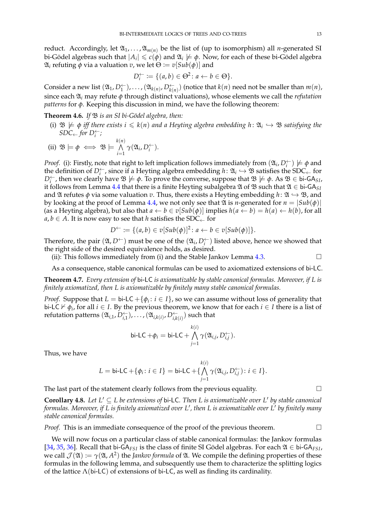reduct. Accordingly, let  $\mathfrak{A}_1, \ldots, \mathfrak{A}_{m(n)}$  be the list of (up to isomorphism) all *n*-generated SI bi-Gödel algebras such that  $|A_i| \leqslant c(\phi)$  and  $\mathfrak{A}_i \not\models \phi$ . Now, for each of these bi-Gödel algebra  $\mathfrak{A}_i$  refuting *φ* via a valuation *v*, we let  $\Theta := v[Sub(\phi)]$  and

$$
D_i^{\leftarrow} := \{ (a, b) \in \Theta^2 \colon a \leftarrow b \in \Theta \}.
$$

Consider a new list  $(\mathfrak{A}_1, D_1^{\leftarrow}), \ldots, (\mathfrak{A}_{k(n)}, D_{k(n)}^{\leftarrow})$  (notice that  $k(n)$  need not be smaller than  $m(n)$ , since each A*<sup>i</sup>* may refute *φ* through distinct valuations), whose elements we call the *refutation patterns* for *φ*. Keeping this discussion in mind, we have the following theorem:

**Theorem 4.6.** *If*  $\mathfrak{B}$  *is an SI bi-Gödel algebra, then:* 

(i)  $\mathfrak{B} \not\models \phi$  *iff there exists*  $i \leq k(n)$  and a Heyting algebra embedding  $h: \mathfrak{A}_i \hookrightarrow \mathfrak{B}$  satisfying the  $SDC \leftarrow for D_i^{\leftarrow}$ ;

(ii) 
$$
\mathfrak{B} \models \phi \iff \mathfrak{B} \models \bigwedge_{i=1}^{k(n)} \gamma(\mathfrak{A}_i, D_i^{\leftarrow}).
$$

*Proof.* (i): Firstly, note that right to left implication follows immediately from  $(\mathfrak{A}_i, D_i^{\leftarrow}) \not\models \phi$  and the definition of  $D_i^{\leftarrow}$ , since if a Heyting algebra embedding  $h: \mathfrak{A}_i \hookrightarrow \mathfrak{B}$  satisfies the SDC<sub>←</sub> for  $D_i^{\leftarrow}$ , then we clearly have  $\mathfrak{B} \not\models \phi$ . To prove the converse, suppose that  $\mathfrak{B} \not\models \phi$ . As  $\mathfrak{B} \in$  bi-GA<sub>*SI*</sub>, it follows from Lemma [4.4](#page-11-0) that there is a finite Heyting subalgebra  $\mathfrak A$  of  $\mathfrak B$  such that  $\mathfrak A \in$  bi-GA<sub>SI</sub> and  $\mathfrak A$  refutes  $\phi$  via some valuation  $v$ . Thus, there exists a Heyting embedding  $h: \mathfrak A \hookrightarrow \mathfrak B$ , and by looking at the proof of Lemma [4.4,](#page-11-0) we not only see that  $\mathfrak A$  is *n*-generated for  $n = |Sub(\phi)|$ (as a Heyting algebra), but also that  $a \leftarrow b \in v[Sub(\phi)]$  implies  $h(a \leftarrow b) = h(a) \leftarrow h(b)$ , for all  $a, b \in A$ . It is now easy to see that *h* satisfies the SDC<sub>←</sub> for

$$
D^{\leftarrow} := \{ (a, b) \in v[Sub(\phi)]^2 \colon a \leftarrow b \in v[Sub(\phi)] \}.
$$

Therefore, the pair  $(\mathfrak{A}, D^{\leftarrow})$  must be one of the  $(\mathfrak{A}_i, D_i^{\leftarrow})$  listed above, hence we showed that the right side of the desired equivalence holds, as desired.

(ii): This follows immediately from (i) and the Stable Jankov Lemma [4.3.](#page-10-0)  $\Box$ 

As a consequence, stable canonical formulas can be used to axiomatized extensions of bi-LC.

<span id="page-12-0"></span>**Theorem 4.7.** *Every extension of* bi-LC *is axiomatizable by stable canonical formulas. Moreover, if L is finitely axiomatized, then L is axiomatizable by finitely many stable canonical formulas.*

*Proof.* Suppose that  $L = \text{bi-LC} + \{\phi_i : i \in I\}$ , so we can assume without loss of generality that bi-LC  $\nvdash \phi_i$ , for all  $i \in I$ . By the previous theorem, we know that for each  $i \in I$  there is a list of refutation patterns  $(\mathfrak{A}_{i,1},D_{i,1}^\leftarrow)$  ,  $\dots$  ,  $(\mathfrak{A}_{i,k(i)},D_{i,k(i)}^\leftarrow)$  such that

$$
\mathsf{bi}\text{-}\mathsf{LC} + \phi_i = \mathsf{bi}\text{-}\mathsf{LC} + \bigwedge_{j=1}^{k(i)} \gamma(\mathfrak{A}_{i,j}, D_{i,j}^{\leftarrow}).
$$

Thus, we have

$$
L = \mathsf{bi}\text{-}\mathsf{LC} + \{\phi_i \colon i \in I\} = \mathsf{bi}\text{-}\mathsf{LC} + \{\bigwedge_{j=1}^{k(i)} \gamma(\mathfrak{A}_{i,j}, D_{i,j}^{\leftarrow}) : i \in I\}.
$$

The last part of the statement clearly follows from the previous equality.  $\Box$ 

**Corollary 4.8.** Let  $L' \subseteq L$  be extensions of bi-LC. Then L is axiomatizable over L' by stable canonical *formulas. Moreover, if L is finitely axiomatized over L* 0 *, then L is axiomatizable over L* 0 *by finitely many stable canonical formulas.*

*Proof.* This is an immediate consequence of the proof of the previous theorem.

We will now focus on a particular class of stable canonical formulas: the Jankov formulas [\[34,](#page-29-23) [35,](#page-29-24) [36\]](#page-29-25). Recall that bi-GA<sub>FSI</sub> is the class of finite SI Gödel algebras. For each  $\mathfrak{A} \in$  bi-GA<sub>FSI</sub>, we call  $\mathcal{J}(\mathfrak{A})\coloneqq\gamma(\mathfrak{A},A^2)$  the *Jankov formula* of  $\mathfrak{A}.$  We compile the defining properties of these formulas in the following lemma, and subsequently use them to characterize the splitting logics of the lattice  $\Lambda$ (bi-LC) of extensions of bi-LC, as well as finding its cardinality.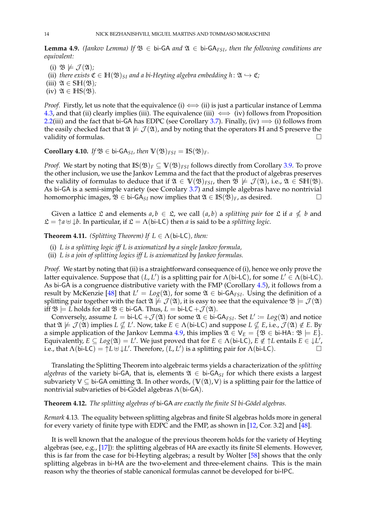<span id="page-13-1"></span>**Lemma 4.9.** *(Jankov Lemma)* If  $\mathfrak{B} \in$  bi-GA and  $\mathfrak{A} \in$  bi-GA<sub>FSI</sub>*, then the following conditions are equivalent:*

- (i)  $\mathfrak{B} \not\models \mathcal{J}(\mathfrak{A})$ ;
- (ii) *there exists*  $\mathfrak{C} \in \mathbb{H}(\mathfrak{B})_{SI}$  *and a bi-Heyting algebra embedding*  $h: \mathfrak{A} \hookrightarrow \mathfrak{C}$ *;*
- (iii)  $\mathfrak{A} \in \mathbb{SH}(\mathfrak{B})$ *;*
- (iv)  $\mathfrak{A} \in \mathbb{HS}(\mathfrak{B})$ .

*Proof.* Firstly, let us note that the equivalence (i)  $\iff$  (ii) is just a particular instance of Lemma [4.3,](#page-10-0) and that (ii) clearly implies (iii). The equivalence (iii)  $\iff$  (iv) follows from Proposition [2.2\(](#page-2-0)iii) and the fact that bi-GA has EDPC (see Corollary [3.7\)](#page-8-0). Finally, (iv)  $\implies$  (i) follows from the easily checked fact that  $\mathfrak{A} \not\models \mathcal{J}(\mathfrak{A})$ , and by noting that the operators **H** and **S** preserve the validity of formulas.

<span id="page-13-2"></span>**Corollary 4.10.** *If*  $\mathfrak{B} \in$  bi-GA<sub>SI</sub>, then  $\mathbb{V}(\mathfrak{B})_{FSI} = \mathbb{IS}(\mathfrak{B})_F$ .

*Proof.* We start by noting that  $\mathbb{IS}(\mathfrak{B})_F \subseteq \mathbb{V}(\mathfrak{B})_{FSI}$  follows directly from Corollary [3.9.](#page-8-1) To prove the other inclusion, we use the Jankov Lemma and the fact that the product of algebras preserves the validity of formulas to deduce that if  $\mathfrak{A} \in V(\mathfrak{B})_{FSI}$ , then  $\mathfrak{B} \not\models \mathcal{J}(\mathfrak{A})$ , i.e.,  $\mathfrak{A} \in SH(\mathfrak{B})$ . As bi-GA is a semi-simple variety (see Corolary [3.7\)](#page-8-0) and simple algebras have no nontrivial homomorphic images,  $\mathfrak{B} \in$  bi-GA<sub>SI</sub> now implies that  $\mathfrak{A} \in \mathbb{IS}(\mathfrak{B})_F$ , as desired.  $□$ 

Given a lattice  $\mathfrak L$  and elements  $a, b \in \mathfrak L$ , we call  $(a, b)$  a *splitting pair* for  $\mathfrak L$  if  $a \nleq b$  and  $\mathfrak{L} = \uparrow a \uplus \downarrow b$ . In particular, if  $\mathfrak{L} = \Lambda(bi\text{-}LC)$  then *a* is said to be a *splitting logic*.

<span id="page-13-0"></span>**Theorem 4.11.** *(Splitting Theorem)* If  $L \in \Lambda$  (bi-LC), then:

- (i) *L is a splitting logic iff L is axiomatized by a single Jankov formula,*
- (ii) *L is a join of splitting logics iff L is axiomatized by Jankov formulas.*

*Proof.* We start by noting that (ii) is a straightforward consequence of (i), hence we only prove the latter equivalence. Suppose that  $(L, L')$  is a splitting pair for  $\Lambda$ (bi-LC), for some  $L' \in \Lambda$ (bi-LC). As bi-GA is a congruence distributive variety with the FMP (Corollary [4.5\)](#page-11-1), it follows from a result by McKenzie [\[48\]](#page-29-26) that  $L' = Log(\mathfrak{A})$ , for some  $\mathfrak{A} \in$  bi-GA<sub>FSI</sub>. Using the definition of a splitting pair together with the fact  $\mathfrak{A} \not\models \mathcal{J}(\mathfrak{A})$ , it is easy to see that the equivalence  $\mathfrak{B} \models \mathcal{J}(\mathfrak{A})$ iff  $\mathfrak{B} \models L$  holds for all  $\mathfrak{B} \in$  bi-GA. Thus,  $L =$  bi-LC  $+ \mathcal{J}(\mathfrak{A})$ .

Conversely, assume  $L = \text{bi-LC} + \mathcal{J}(\mathfrak{A})$  for some  $\mathfrak{A} \in \text{bi-GA}_{FSI}$ . Set  $L' \coloneqq Log(\mathfrak{A})$  and notice that  $\mathfrak{A} \not\models \mathcal{J}(\mathfrak{A})$  implies  $L \nsubseteq L'$ . Now, take  $E \in \Lambda$  (bi-LC) and suppose  $L \nsubseteq E$ , i.e.,  $\mathcal{J}(\mathfrak{A}) \notin E$ . By a simple application of the Jankov Lemma [4.9,](#page-13-1) this implies  $\mathfrak{A} \in V_E = \{ \mathfrak{B} \in \mathsf{bi}\text{-HA} : \mathfrak{B} \models E \}.$ Equivalently,  $E \subseteq Log(\mathfrak{A}) = L'$ . We just proved that for  $E \in \Lambda$  (bi-LC),  $E \notin \uparrow L$  entails  $E \in \downarrow L'$ , i.e., that  $\Lambda$ (bi-LC) =  $\uparrow L \uplus \downarrow L'$ . Therefore,  $(L, L')$  is a splitting pair for  $\Lambda$ (bi-LC).

Translating the Splitting Theorem into algebraic terms yields a characterization of the *splitting algebras* of the variety bi-GA, that is, elements  $\mathfrak{A} \in$  bi-GA<sub>SI</sub> for which there exists a largest subvariety  $V \subseteq bi-GA$  omitting  $\mathfrak{A}$ . In other words,  $(V(\mathfrak{A}), V)$  is a splitting pair for the lattice of nontrivial subvarieties of bi-Gödel algebras  $\Lambda$ (bi-GA).

## **Theorem 4.12.** *The splitting algebras of* bi-GA *are exactly the finite SI bi-G¨odel algebras.*

*Remark* 4.13*.* The equality between splitting algebras and finite SI algebras holds more in general for every variety of finite type with EDPC and the FMP, as shown in [\[12,](#page-28-11) Cor. 3.2] and [\[48\]](#page-29-26).

It is well known that the analogue of the previous theorem holds for the variety of Heyting algebras (see, e.g., [\[17\]](#page-29-9)): the splitting algebras of HA are exactly its finite SI elements. However, this is far from the case for bi-Heyting algebras; a result by Wolter [\[58\]](#page-30-0) shows that the only splitting algebras in bi-HA are the two-element and three-element chains. This is the main reason why the theories of stable canonical formulas cannot be developed for bi-IPC.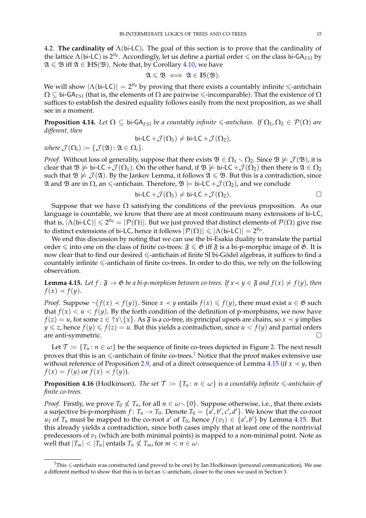4.2. **The cardinality of** Λ(bi-LC)**.** The goal of this section is to prove that the cardinality of the lattice  $\Lambda$ (bi-LC) is  $2^{\aleph_0}$ . Accordingly, let us define a partial order  $\leq$  on the class bi-GA<sub>FSI</sub> by  $\mathfrak{A} \leq \mathfrak{B}$  iff  $\mathfrak{A} \in HS(\mathfrak{B})$ . Note that, by Corollary [4.10,](#page-13-2) we have

$$
\mathfrak{A}\leqslant\mathfrak{B}\iff\mathfrak{A}\in\mathrm{IS}(\mathfrak{B}).
$$

We will show  $|\Lambda(\text{bi-LC})| = 2^{\aleph_0}$  by proving that there exists a countably infinite  $\leq$ -antichain  $\Omega \subseteq$  bi-GA<sub>FSI</sub> (that is, the elements of  $\Omega$  are pairwise  $\leq$ -incomparable). That the existence of  $\Omega$ suffices to establish the desired equality follows easily from the next proposition, as we shall see in a moment.

**Proposition 4.14.** *Let*  $\Omega \subseteq$  bi-GA<sub>FSI</sub> *be a countably infinite*  $\leq$ -*antichain.* If  $\Omega_1, \Omega_2 \in \mathcal{P}(\Omega)$  *are different, then*

$$
\mathsf{bi}\text{-}\mathsf{LC}+\mathcal{J}(\Omega_1)\neq \mathsf{bi}\text{-}\mathsf{LC}+\mathcal{J}(\Omega_2),
$$

*where*  $\mathcal{J}(\Omega_i) := \{ \mathcal{J}(\mathfrak{A}) : \mathfrak{A} \in \Omega_i \}.$ 

*Proof.* Without loss of generality, suppose that there exists  $\mathfrak{B} \in \Omega_1 \setminus \Omega_2$ . Since  $\mathfrak{B} \not\models \mathcal{J}(\mathfrak{B})$ , it is clear that  $\mathfrak{B} \not\models b$  i-LC + $\mathcal{J}(\Omega_1)$ . On the other hand, if  $\mathfrak{B} \not\models b$  i-LC + $\mathcal{J}(\Omega_2)$  then there is  $\mathfrak{A} \in \Omega_2$ such that  $\mathfrak{B} \not\models \mathcal{J}(\mathfrak{A})$ . By the Jankov Lemma, it follows  $\mathfrak{A} \leq \mathfrak{B}$ . But this is a contradiction, since  $\mathfrak A$  and  $\mathfrak B$  are in Ω, an ≤-antichain. Therefore,  $\mathfrak B$   $\models$  bi-LC +  $\mathcal J(\Omega_2)$ , and we conclude

$$
\mathsf{bi}\text{-}\mathsf{LC}+\mathcal{J}(\Omega_1)\neq \mathsf{bi}\text{-}\mathsf{LC}+\mathcal{J}(\Omega_2). \qquad \qquad \Box
$$

Suppose that we have  $\Omega$  satisfying the conditions of the previous proposition. As our language is countable, we know that there are at most continuum many extensions of bi-LC, that is,  $|\Lambda(\text{bi-LC})| \leq 2^{\aleph_0} = |\mathcal{P}(\Omega)|$ . But we just proved that distinct elements of  $\mathcal{P}(\Omega)$  give rise to distinct extensions of bi-LC, hence it follows  $|\mathcal{P}(\Omega)| \leqslant |\Lambda(\mathsf{bi}\text{-}\mathsf{LC})| = 2^{\aleph_0}$ .

We end this discussion by noting that we can use the bi-Esakia duality to translate the partial order  $\leq$  into one on the class of finite co-trees:  $\mathfrak{F} \leq \mathfrak{G}$  iff  $\mathfrak{F}$  is a bi-p-morphic image of  $\mathfrak{G}$ . It is now clear that to find our desired  $\leq$ -antichain of finite SI bi-Gödel algebras, it suffices to find a countably infinite  $\leq$ -antichain of finite co-trees. In order to do this, we rely on the following observation.

<span id="page-14-1"></span>**Lemma 4.15.** Let  $f: \mathfrak{F} \to \mathfrak{G}$  be a bi-p-morphism between co-trees. If  $x \prec y \in \mathfrak{F}$  and  $f(x) \neq f(y)$ , then  $f(x) \prec f(y)$ .

*Proof.* Suppose  $\neg (f(x) \prec f(y))$ . Since  $x \prec y$  entails  $f(x) \leq f(y)$ , there must exist  $u \in \mathfrak{G}$  such that  $f(x) < u < f(y)$ . By the forth condition of the definition of p-morphisms, we now have  $f(z) = u$ , for some  $z \in \{\alpha\}$  { *x* }. As  $\mathfrak{F}$  is a co-tree, its principal upsets are chains, so  $x \prec y$  implies  $y \le z$ , hence  $f(y) \le f(z) = u$ . But this yields a contradiction, since  $u < f(y)$  and partial orders are anti-symmetric.

Let  $\mathcal{T} := \{T_n : n \in \omega\}$  be the sequence of finite co-trees depicted in Figure [2.](#page-15-0) The next result proves that this is an  $\le$ -antichain of finite co-trees.<sup>[†](#page-14-0)</sup> Notice that the proof makes extensive use without reference of Proposition [2.9,](#page-4-1) and of a direct consequence of Lemma [4.15](#page-14-1) (if  $x \prec y$ , then  $f(x) = f(y)$  or  $f(x) \prec f(y)$ .

<span id="page-14-2"></span>**Proposition 4.16** (Hodkinson). *The set*  $\mathcal{T} := \{T_n : n \in \omega\}$  *is a countably infinite*  $\leq$ -*antichain of finite co-trees.*

*Proof.* Firstly, we prove  $T_0 \nleq T_n$ , for all  $n \in \omega \setminus \{0\}$ . Suppose otherwise, i.e., that there exists a surjective bi-p-morphism  $f\colon T_n\to T_0$ . Denote  $T_0=\{\overline{a'},b',c',d'\}$ . We know that the co-root *u*<sub>1</sub> of  $T_n$  must be mapped to the co-root *a*' of  $T_0$ , hence  $f(v_1) \in \{a', b'\}$  by Lemma [4.15.](#page-14-1) But this already yields a contradiction, since both cases imply that at least one of the nontrivial predecessors of *v*<sup>1</sup> (which are both minimal points) is mapped to a non-minimal point. Note as well that  $|T_m| < |T_n|$  entails  $T_n \nleq T_m$ , for  $m < n \in \omega$ .

<span id="page-14-0"></span> $\dagger$ This  $\leq$ -antichain was constructed (and proved to be one) by Ian Hodkinson (personal communication). We use a different method to show that this is in fact an  $\leq$ -antichain, closer to the ones we used in Section 3.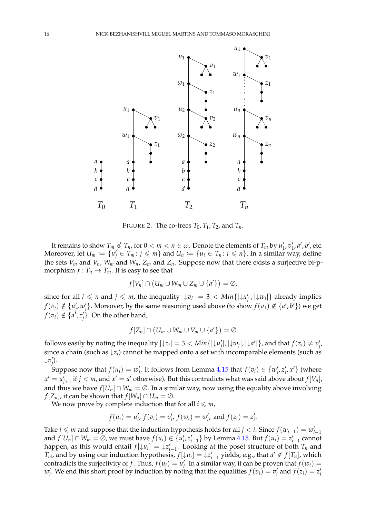

<span id="page-15-0"></span>FIGURE 2. The co-trees  $T_0$ ,  $T_1$ ,  $T_2$ , and  $T_n$ .

It remains to show  $T_m \nleq T_n$ , for  $0 < m < n \in \omega$ . Denote the elements of  $T_m$  by  $u'_1, v'_1, a', b'$ , etc. Moreover, let  $U_m := \{u'_j \in T_m : j \leqslant m\}$  and  $U_n := \{u_i \in T_n : i \leqslant n\}$ . In a similar way, define the sets  $V_m$  and  $V_n$ ,  $W_m$  and  $W_n$ ,  $Z_m$  and  $Z_n$ . Suppose now that there exists a surjective bi-pmorphism  $f: T_n \to T_m$ . It is easy to see that

$$
f[V_n] \cap (U_m \cup W_m \cup Z_m \cup \{a'\}) = \emptyset,
$$

since for all  $i \le n$  and  $j \le m$ , the inequality  $|\downarrow v_i| = 3 < Min\{|\downarrow u'_j|, |\downarrow w_j|\}$  already implies  $f(v_i) \notin \{u'_j, w'_j\}$ . Moreover, by the same reasoning used above (to show  $f(v_1) \notin \{a', b'\}$ ) we get  $f(v_i) \notin \{a^i, z'_j\}$ . On the other hand,

$$
f[Z_n] \cap (U_m \cup W_m \cup V_m \cup \{a'\}) = \emptyset
$$

follows easily by noting the inequality  $|\downarrow z_i|=3 < Min\{|\downarrow u'_j|, |\downarrow w_j|, |\downarrow a'|\}$ , and that  $f(z_i) \neq v'_j$ since a chain (such as ↓*z<sup>i</sup>* ) cannot be mapped onto a set with incomparable elements (such as  $\downarrow v'_j$ ).

Suppose now that  $f(u_i) = w'_j$ . It follows from Lemma [4.15](#page-14-1) that  $f(v_i) \in \{w'_j, z'_j, x'\}$  (where  $x' = u'_{j+1}$  if  $j < m$ , and  $x' = a'$  otherwise). But this contradicts what was said above about  $f[V_n]$ , and thus we have  $f[U_n] \cap W_m = \emptyset$ . In a similar way, now using the equality above involving *f*  $[Z_n]$ , it can be shown that  $f[W_n] \cap U_m = \emptyset$ .

We now prove by complete induction that for all  $i \leq m$ ,

$$
f(u_i) = u'_i
$$
,  $f(v_i) = v'_i$ ,  $f(w_i) = w'_i$ , and  $f(z_i) = z'_i$ .

Take *i*  $\leq$  *m* and suppose that the induction hypothesis holds for all *j* < *i*. Since  $f(w_{i-1}) = w'_{i-1}$ and  $f[U_n] \cap W_m = \emptyset$ , we must have  $f(u_i) \in \{u'_i, z'_{i-1}\}$  by Lemma [4.15.](#page-14-1) But  $f(u_i) = z'_{i-1}$  cannot happen, as this would entail  $f[\downarrow u_i] = \downarrow z_{i-1}'$ . Looking at the poset structure of both  $T_n$  and *T*<sub>*m*</sub>, and by using our induction hypothesis,  $f[\downarrow u_i] = \downarrow z_{i-1}'$  yields, e.g., that  $a' \notin f[T_n]$ , which contradicts the surjectivity of *f*. Thus,  $f(u_i) = u'_i$ . In a similar way, it can be proven that  $f(w_i) =$  $w'_i$ . We end this short proof by induction by noting that the equalities  $f(v_i) = v'_i$  and  $f(z_i) = z'_i$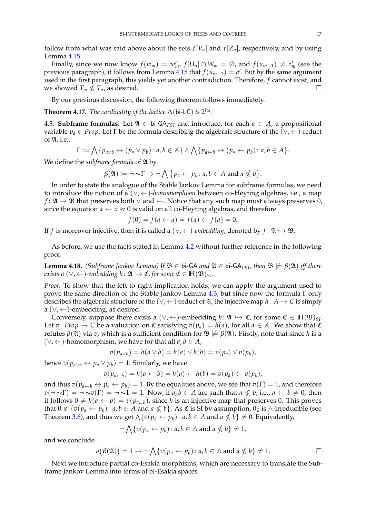follow from what was said above about the sets  $f[V_n]$  and  $f[Z_n]$ , respectively, and by using Lemma [4.15.](#page-14-1)

Finally, since we now know  $f(w_m) = w'_m$ ,  $f[U_n] \cap W_m = \emptyset$ , and  $f(u_{m+1}) \neq z'_m$  (see the previous paragraph), it follows from Lemma [4.15](#page-14-1) that  $f(u_{m+1}) = a'$ . But by the same argument used in the first paragraph, this yields yet another contradiction. Therefore, *f* cannot exist, and we showed  $T_m \nleq T_n$ , as desired.

By our previous discussion, the following theorem follows immediately.

<span id="page-16-0"></span>**Theorem 4.17.** *The cardinality of the lattice*  $\Lambda$ (bi-LC) *is*  $2^{\aleph_0}$ *.* 

4.3. **Subframe formulas.** Let  $\mathfrak{A} \in \mathfrak{b}$ i-GA<sub>*FSI*</sub> and introduce, for each *a* ∈ *A*, a propositional variable  $p_a \in Prop$ . Let  $\Gamma$  be the formula describing the algebraic structure of the  $(\vee, \leftarrow)$ -reduct of  $\mathfrak{A}$ , i.e.,

$$
\Gamma := \bigwedge \{p_{a \vee b} \leftrightarrow (p_a \vee p_b) : a, b \in A\} \wedge \bigwedge \{p_{a \leftarrow b} \leftrightarrow (p_a \leftarrow p_b) : a, b \in A\}.
$$

We define the *subframe* formula of  $\mathfrak A$  by

$$
\beta(\mathfrak{A}) \coloneqq \neg \sim \Gamma \rightarrow \neg \bigwedge \{p_a \leftarrow p_b \colon a, b \in A \text{ and } a \nleq b\}.
$$

In order to state the analogue of the Stable Jankov Lemma for subframe formulas, we need to introduce the notion of a (∨, ←)*-homomorphism* between co-Heyting algebras, i.e., a map  $f: \mathfrak{A} \to \mathfrak{B}$  that preserves both  $\vee$  and  $\leftarrow$ . Notice that any such map must always preserves 0, since the equation  $x \leftarrow x \approx 0$  is valid on all co-Heyting algebras, and therefore

$$
f(0) = f(a \leftarrow a) = f(a) \leftarrow f(a) = 0.
$$

If *f* is moreover injective, then it is called a ( $\vee$ ,  $\leftarrow$ )-*embedding*, denoted by *f* :  $\mathfrak{A} \hookrightarrow \mathfrak{B}$ .

As before, we use the facts stated in Lemma [4.2](#page-10-1) without further reference in the following proof.

<span id="page-16-1"></span>**Lemma 4.18.** *(Subframe Jankov Lemma) If*  $\mathcal{B} \in$  bi-GA *and*  $\mathcal{A} \in$  bi-GA<sub>*FSI*</sub>*, then*  $\mathcal{B} \not\models \beta(\mathcal{A})$  *iff there exists a* ( $\vee$ ,  $\leftarrow$ )*-embedding h* :  $\mathfrak{A} \hookrightarrow \mathfrak{C}$ *, for some*  $\mathfrak{C} \in \mathbb{H}(\mathfrak{B})_{\text{SL}}$ *.* 

*Proof.* To show that the left to right implication holds, we can apply the argument used to prove the same direction of the Stable Jankov Lemma [4.3,](#page-10-0) but since now the formula Γ only describes the algebraic structure of the  $(\vee, \leftarrow)$ -reduct of  $\mathfrak{A}$ , the injective map  $h: A \rightarrow C$  is simply a (∨, ←)-embedding, as desired.

Conversely, suppose there exists a  $(\vee, \leftarrow)$ -embedding  $h: \mathfrak{A} \hookrightarrow \mathfrak{C}$ , for some  $\mathfrak{C} \in \mathbb{H}(\mathfrak{B})_{SI}$ . Let *v*: *Prop*  $\rightarrow$  *C* be a valuation on  $\mathfrak C$  satisfying  $v(p_a) = h(a)$ , for all  $a \in A$ . We show that  $\mathfrak C$ refutes  $\beta(\mathfrak{A})$  via *v*, which is a sufficient condition for  $\mathfrak{B} \not\models \beta(\mathfrak{A})$ . Firstly, note that since *h* is a (∨, ←)-homomorphism, we have for that all *a*, *b* ∈ *A*,

$$
v(p_{a\vee b}) = h(a \vee b) = h(a) \vee h(b) = v(p_a) \vee v(p_b),
$$

hence  $v(p_{a\vee b} \leftrightarrow p_a \vee p_b) = 1$ . Similarly, we have

$$
v(p_{a\leftarrow b}) = h(a \leftarrow b) = h(a) \leftarrow h(b) = v(p_a) \leftarrow v(p_b),
$$

and thus  $v(p_{a\leftarrow b} \leftrightarrow p_a \leftarrow p_b) = 1$ . By the equalities above, we see that  $v(\Gamma) = 1$ , and therefore  $v(\neg \sim \Gamma) = \neg \sim v(\Gamma) = \neg \sim 1 = 1$ . Now, if  $a, b \in A$  are such that  $a \nleq b$ , i.e.,  $a \leftarrow b \neq 0$ , then it follows  $0 \neq h(a \leftarrow b) = v(p_{a\leftarrow b})$ , since *h* is an injective map that preserves 0. This proves that  $0 \notin \{v(p_a \leftarrow p_b): a, b \in A \text{ and } a \nleq b\}$ . As  $\mathfrak C$  is SI by assumption,  $0_{\mathfrak C}$  is ∧-irreducible (see Theorem [3.6\)](#page-7-4), and thus we get  $\wedge \{v(p_a \leftarrow p_b): a, b \in A \text{ and } a \nleq b\} \neq 0$ . Equivalently,

$$
\neg \bigwedge \{v(p_a \leftarrow p_b) : a, b \in A \text{ and } a \nleq b\} \neq 1,
$$

and we conclude

$$
v(\beta(\mathfrak{A})) = 1 \to \neg \bigwedge \{v(p_a \leftarrow p_b) : a, b \in A \text{ and } a \nleq b\} \neq 1.
$$

Next we introduce partial co-Esakia morphisms, which are necessary to translate the Subframe Jankov Lemma into terms of bi-Esakia spaces.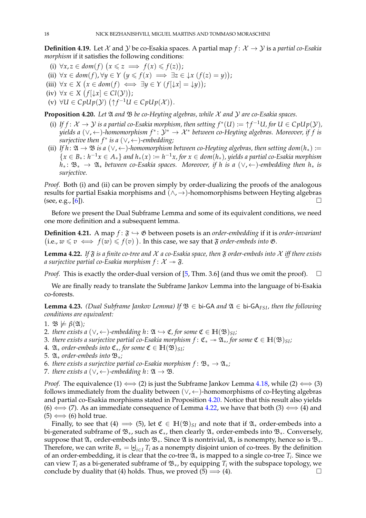**Definition 4.19.** Let X and Y be co-Esakia spaces. A partial map  $f: X \rightarrow Y$  is a *partial co-Esakia morphism* if it satisfies the following conditions:

- (i)  $\forall x, z \in dom(f) \ (x \leq z \implies f(x) \leq f(z));$
- (ii)  $\forall x \in dom(f), \forall y \in Y \ (y \leq f(x) \implies \exists z \in \downarrow x \ (f(z) = y));$
- $(iii) \forall x \in X \ (x \in dom(f) \iff \exists y \in Y \ (f[\downarrow x] = \downarrow y));$
- $(iv) \forall x \in X \ (f[\downarrow x] \in Cl(\mathcal{Y}));$
- (v) ∀*U* ∈  $CpUp(Y)$  ( $\uparrow f^{-1}U$  ∈  $CpUp(X)$ ).

<span id="page-17-1"></span>**Proposition 4.20.** Let  $\mathfrak A$  *and*  $\mathfrak B$  *be co-Heyting algebras, while*  $\mathcal X$  *and*  $\mathcal Y$  *are co-Esakia spaces.* 

- (i) If  $f: \mathcal{X} \to \mathcal{Y}$  is a partial co-Esakia morphism, then setting  $f^*(U) \coloneqq \uparrow f^{-1}U$ , for  $U \in CpUp(\mathcal{Y})$ , *yields a* ( $\vee$ ,  $\leftarrow$ )-homomorphism  $f^* \colon \mathcal{Y}^* \to \mathcal{X}^*$  between co-Heyting algebras. Moreover, if f is *surjective then f* <sup>∗</sup> *is a* (∨, ←)*-embedding;*
- (ii) *If*  $h: \mathfrak{A} \to \mathfrak{B}$  *is a* ( $\vee$ ,  $\leftarrow$ )*-homomorphism between co-Heyting algebras, then setting*  $dom(h_*) :=$  $\{x \in B_* : h^{-1}x \in A_*\}$  and  $h_*(x) := h^{-1}x$ , for  $x \in dom(h_*)$ , yields a partial co-Esakia morphism *h*<sup>∗</sup> : B<sup>∗</sup> → A<sup>∗</sup> *between co-Esakia spaces. Moreover, if h is a* (∨, ←)*-embedding then h*<sup>∗</sup> *is surjective.*

*Proof.* Both (i) and (ii) can be proven simply by order-dualizing the proofs of the analogous results for partial Esakia morphisms and  $(\wedge, \rightarrow)$ -homomorphisms between Heyting algebras (see, e.g.,  $[6]$ ).

Before we present the Dual Subframe Lemma and some of its equivalent conditions, we need one more definition and a subsequent lemma.

**Definition 4.21.** A map  $f: \mathfrak{F} \hookrightarrow \mathfrak{G}$  between posets is an *order-embedding* if it is *order-invariant* (i.e., *w* ≤ *v*  $\iff$  *f*(*w*) ≤ *f*(*v*) ). In this case, we say that  $\mathfrak F$  *order-embeds into*  $\mathfrak G$ .

<span id="page-17-2"></span>**Lemma 4.22.** If  $\tilde{\mathbf{g}}$  is a finite co-tree and  $\mathcal{X}$  a co-Esakia space, then  $\tilde{\mathbf{g}}$  order-embeds into  $\mathcal{X}$  iff there exists *a surjective partial co-Esakia morphism*  $f: \mathcal{X} \rightarrow \mathfrak{F}$ .

*Proof.* This is exactly the order-dual version of [\[5,](#page-28-15) Thm. 3.6] (and thus we omit the proof).  $\square$ 

We are finally ready to translate the Subframe Jankov Lemma into the language of bi-Esakia co-forests.

<span id="page-17-0"></span>**Lemma 4.23.** *(Dual Subframe Jankov Lemma)* If  $\mathcal{B} \in$  bi-GA *and*  $\mathcal{A} \in$  bi-GA<sub>FSI</sub>*, then the following conditions are equivalent:*

- 1.  $\mathfrak{B} \not\models \beta(\mathfrak{A})$ *;*
- 2. *there exists a*  $(\vee, \leftarrow)$ -embedding  $h : \mathfrak{A} \hookrightarrow \mathfrak{C}$ , for some  $\mathfrak{C} \in \mathbb{H}(\mathfrak{B})_{\text{SI}}$ ;
- 3. *there exists a surjective partial co-Esakia morphism*  $f: \mathfrak{C}_* \to \mathfrak{A}_*$ , for some  $\mathfrak{C} \in \mathbb{H}(\mathfrak{B})_{\text{S}I}$ ;
- 4.  $\mathfrak{A}_*$  *order-embeds into*  $\mathfrak{C}_*$ *, for some*  $\mathfrak{C} \in \mathbb{H}(\mathfrak{B})_{SI}$ *;*
- 5. A<sup>∗</sup> *order-embeds into* B∗*;*
- 6. *there exists a surjective partial co-Esakia morphism*  $f: \mathfrak{B}_* \to \mathfrak{A}_*$ ;
- 7. *there exists a* ( $\vee$ ,  $\leftarrow$ )-embedding h:  $\mathfrak{A} \rightarrow \mathfrak{B}$ .

*Proof.* The equivalence (1)  $\Longleftrightarrow$  (2) is just the Subframe Jankov Lemma [4.18,](#page-16-1) while (2)  $\Longleftrightarrow$  (3) follows immediately from the duality between  $(\vee, \leftarrow)$ -homomorphisms of co-Heyting algebras and partial co-Esakia morphisms stated in Proposition [4.20.](#page-17-1) Notice that this result also yields (6)  $\Longleftrightarrow$  (7). As an immediate consequence of Lemma [4.22,](#page-17-2) we have that both (3)  $\Longleftrightarrow$  (4) and  $(5) \Longleftrightarrow (6)$  hold true.

Finally, to see that (4)  $\implies$  (5), let  $\mathfrak{C} \in \mathbb{H}(\mathfrak{B})_{SI}$  and note that if  $\mathfrak{A}_*$  order-embeds into a bi-generated subframe of  $\mathfrak{B}_*$ , such as  $\mathfrak{C}_*$ , then clearly  $\mathfrak{A}_*$  order-embeds into  $\mathfrak{B}_*$ . Conversely, suppose that  $\mathfrak{A}_*$  order-embeds into  $\mathfrak{B}_*$ . Since  $\mathfrak A$  is nontrivial,  $\mathfrak{A}_*$  is nonempty, hence so is  $\mathfrak{B}_*$ . Therefore, we can write  $B_* = \biguplus_{i \in I} T_i$  as a nonempty disjoint union of co-trees. By the definition of an order-embedding, it is clear that the co-tree  $\mathfrak{A}_*$  is mapped to a single co-tree  $T_i$ . Since we can view  $T_i$  as a bi-generated subframe of  $\mathfrak{B}_{*}$ , by equipping  $T_i$  with the subspace topology, we conclude by duality that (4) holds. Thus, we proved (5)  $\implies$  (4).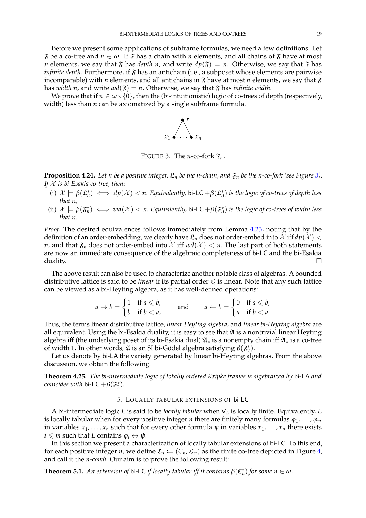Before we present some applications of subframe formulas, we need a few definitions. Let  $\mathfrak F$  be a co-tree and  $n \in \omega$ . If  $\mathfrak F$  has a chain with *n* elements, and all chains of  $\mathfrak F$  have at most *n* elements, we say that  $\mathfrak F$  has *depth n*, and write  $dp(\mathfrak F) = n$ . Otherwise, we say that  $\mathfrak F$  has *infinite depth*. Furthermore, if  $\mathfrak F$  has an antichain (i.e., a subposet whose elements are pairwise incomparable) with *n* elements, and all antichains in  $\mathfrak F$  have at most *n* elements, we say that  $\mathfrak F$ has *width n*, and write  $wd(\mathfrak{F}) = n$ . Otherwise, we say that  $\mathfrak{F}$  has *infinite width*.

We prove that if  $n \in \omega \setminus \{0\}$ , then the (bi-intuitionistic) logic of co-trees of depth (respectively, width) less than *n* can be axiomatized by a single subframe formula.



<span id="page-18-2"></span>FIGURE 3. The *n*-co-fork  $\mathfrak{F}_n$ .

**Proposition 4.24.** Let *n be a positive integer,*  $\mathfrak{L}_n$  *be the n-chain, and*  $\mathfrak{F}_n$  *be the n-co-fork (see Figure [3\)](#page-18-2)*. *If* X *is bi-Esakia co-tree, then:*

- (i)  $\mathcal{X} \models \beta(\mathfrak{L}_n^*) \iff dp(\mathcal{X}) < n$ . Equivalently, bi-LC  $+\beta(\mathfrak{L}_n^*)$  is the logic of co-trees of depth less *that n;*
- (ii)  $\mathcal{X} \models \beta(\mathfrak{F}_n^*) \iff wd(\mathcal{X}) < n$ . Equivalently, bi-LC  $+\beta(\mathfrak{F}_n^*)$  is the logic of co-trees of width less *that n.*

*Proof.* The desired equivalences follows immediately from Lemma [4.23,](#page-17-0) noting that by the definition of an order-embedding, we clearly have  $\mathfrak{L}_n$  does not order-embed into  $\mathcal X$  iff  $d p(\mathcal X)$  < *n*, and that  $\mathfrak{F}_n$  does not order-embed into X iff  $wd(X) < n$ . The last part of both statements are now an immediate consequence of the algebraic completeness of bi-LC and the bi-Esakia  $\Box$ 

The above result can also be used to characterize another notable class of algebras. A bounded distributive lattice is said to be *linear* if its partial order  $\leq$  is linear. Note that any such lattice can be viewed as a bi-Heyting algebra, as it has well-defined operations:

$$
a \to b = \begin{cases} 1 & \text{if } a \leq b, \\ b & \text{if } b < a, \end{cases} \qquad \text{and} \qquad a \leftarrow b = \begin{cases} 0 & \text{if } a \leq b, \\ a & \text{if } b < a. \end{cases}
$$

Thus, the terms linear distributive lattice, *linear Heyting algebra*, and *linear bi-Heyting algebra* are all equivalent. Using the bi-Esakia duality, it is easy to see that  $\mathfrak A$  is a nontrivial linear Heyting algebra iff (the underlying poset of its bi-Esakia dual)  $\mathfrak{A}_*$  is a nonempty chain iff  $\mathfrak{A}_*$  is a co-tree of width 1. In other words,  $\mathfrak A$  is an SI bi-Gödel algebra satisfying  $\beta(\mathfrak{F}_2^*)$ .

Let us denote by bi-LA the variety generated by linear bi-Heyting algebras. From the above discussion, we obtain the following.

<span id="page-18-0"></span>**Theorem 4.25.** *The bi-intermediate logic of totally ordered Kripke frames is algebraized by* bi-LA *and coincides with* bi-LC  $+\beta(\mathfrak{F}_{2}^{*})$ *.* 

## 5. LOCALLY TABULAR EXTENSIONS OF bi-LC

A bi-intermediate logic *L* is said to be *locally tabular* when V*<sup>L</sup>* is locally finite. Equivalently, *L* is locally tabular when for every positive integer *n* there are finitely many formulas  $\varphi_1, \ldots, \varphi_m$ in variables  $x_1, \ldots, x_n$  such that for every other formula  $\psi$  in variables  $x_1, \ldots, x_n$  there exists  $i \leq m$  such that *L* contains  $\varphi_i \leftrightarrow \psi$ .

In this section we present a characterization of locally tabular extensions of bi-LC. To this end, for each positive integer *n*, we define  $\mathfrak{C}_n := (C_n, \leq n)$  as the finite co-tree depicted in Figure [4,](#page-19-0) and call it the *n*-*comb*. Our aim is to prove the following result:

<span id="page-18-1"></span>**Theorem 5.1.** *An extension of bi-LC if locally tabular iff it contains*  $\beta(\mathfrak{C}_n^*)$  *for some*  $n \in \omega$ *.*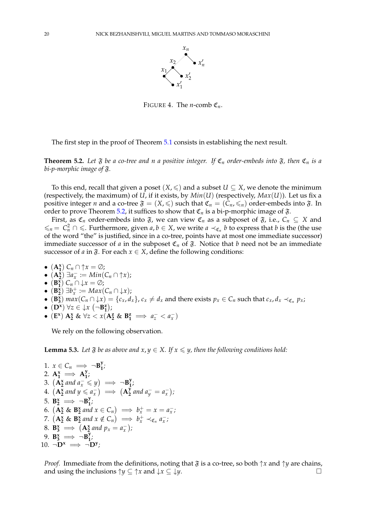

<span id="page-19-0"></span>FIGURE 4. The *n*-comb  $\mathfrak{C}_n$ .

The first step in the proof of Theorem [5.1](#page-18-1) consists in establishing the next result.

<span id="page-19-1"></span>**Theorem 5.2.** Let  $\mathfrak F$  be a co-tree and *n* a positive integer. If  $\mathfrak C_n$  order-embeds into  $\mathfrak F$ , then  $\mathfrak C_n$  is a *bi-p-morphic image of* F*.*

To this end, recall that given a poset  $(X, \leq)$  and a subset  $U \subseteq X$ , we denote the minimum (respectively, the maximum) of *U*, if it exists, by  $Min(U)$  (respectively,  $Max(U)$ ). Let us fix a positive integer *n* and a co-tree  $\mathfrak{F} = (X, \leq)$  such that  $\mathfrak{C}_n = (C_n, \leq_n)$  order-embeds into  $\mathfrak{F}$ . In order to prove Theorem [5.2,](#page-19-1) it suffices to show that  $\mathfrak{C}_n$  is a bi-p-morphic image of  $\mathfrak{F}$ .

First, as  $\mathfrak{C}_n$  order-embeds into  $\mathfrak{F}$ , we can view  $\mathfrak{C}_n$  as a subposet of  $\mathfrak{F}$ , i.e.,  $C_n \subseteq X$  and  $≤_n = C_n^2 ∩ ≤$ . Furthermore, given *a*, *b* ∈ *X*, we write *a*  $\prec$ <sub>*C<sub>n</sub>*</sub> *b* to express that *b* is the (the use of the word "the" is justified, since in a co-tree, points have at most one immediate successor) immediate successor of *a* in the subposet  $\mathfrak{C}_n$  of  $\mathfrak{F}$ . Notice that *b* need not be an immediate successor of *a* in  $\mathfrak{F}$ . For each  $x \in X$ , define the following conditions:

- $(A_1^x)$   $C_n \cap \uparrow x = \emptyset$ ;
- $\bullet$   $(\mathbf{A}_{2}^{\overline{x}}) \exists a_{x}^{-} := Min(C_{n} \cap \uparrow x);$
- $(B_1^x)$   $C_n \cap \downarrow x = \emptyset$ ;
- $(\mathbf{B}_{2}^{\overline{x}}) \exists b_{x}^{+} := Max(C_{n} \cap \downarrow x);$
- $(B_3^x)$   $max(C_n \cap \downarrow x) = \{c_x, d_x\}$ ,  $c_x \neq d_x$  and there exists  $p_x \in C_n$  such that  $c_x, d_x \prec_{\mathfrak{C}_n} p_x$ ;
- $(D^x) \forall z \in \downarrow x \ (\neg B_1^z);$

$$
\bullet \ \left(\mathbf{E}^{\mathbf{x}}\right) \mathbf{A}^{\mathbf{x}}_2 \& \ \forall z < x (\mathbf{A}^{\mathbf{z}}_2 \& \ \mathbf{B}^{\mathbf{z}}_1 \implies a_z^- < a_x^-)
$$

We rely on the following observation.

<span id="page-19-4"></span>**Lemma 5.3.** *Let*  $\mathfrak{F}$  *be as above and*  $x, y \in X$ *. If*  $x \leq y$ *, then the following conditions hold:* 

<span id="page-19-8"></span><span id="page-19-7"></span><span id="page-19-6"></span><span id="page-19-5"></span><span id="page-19-3"></span><span id="page-19-2"></span>1. 
$$
x \in C_n \implies \neg B_1^y
$$
;  
\n2.  $A_1^x \implies A_1^y$ ;  
\n3.  $(A_2^x \text{ and } a_x^- \leq y) \implies \neg B_1^y$ ;  
\n4.  $(A_2^x \text{ and } y \leq a_x^-) \implies (A_2^y \text{ and } a_y^- = a_x^-)$ ;  
\n5.  $B_2^x \implies \neg B_1^y$ ;  
\n6.  $(A_2^x \& B_2^x \text{ and } x \in C_n) \implies b_x^+ = x = a_x^-$ ;  
\n7.  $(A_2^x \& B_2^x \text{ and } x \notin C_n) \implies b_x^+ \prec_{C_n} a_x^-$ ;  
\n8.  $B_3^x \implies (A_2^x \text{ and } p_x = a_x^-)$ ;  
\n9.  $B_3^x \implies \neg B_1^y$ ;  
\n10.  $\neg D^x \implies \neg D^y$ ;

<span id="page-19-12"></span><span id="page-19-11"></span><span id="page-19-10"></span><span id="page-19-9"></span>*Proof.* Immediate from the definitions, noting that  $\mathfrak F$  is a co-tree, so both  $\uparrow x$  and  $\uparrow y$  are chains, and using the inclusions  $\uparrow y \subseteq \uparrow x$  and  $\downarrow x \subseteq \downarrow y$ .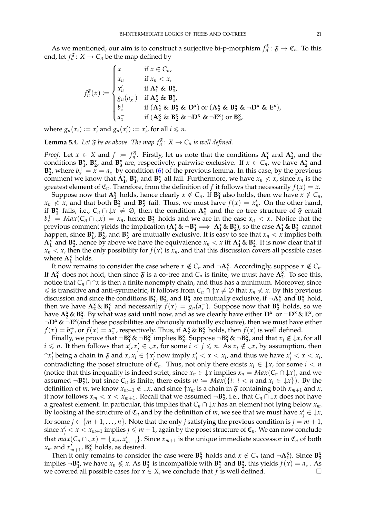As we mentioned, our aim is to construct a surjective bi-p-morphism  $f_n$ <sup>3</sup> :  $\mathfrak{F} \to \mathfrak{C}_n$ . To this end, let  $f_n$ <sup> $\mathfrak{F}$ </sup>:  $X \to C_n$  be the map defined by

$$
f_n^{\mathfrak{F}}(x) := \begin{cases} x & \text{if } x \in C_n, \\ x_n & \text{if } x_n < x, \\ x'_n & \text{if } A_1^x \& B_1^x, \\ g_n(a_x^-) & \text{if } A_2^x \& B_1^x, \\ b_x^+ & \text{if } (A_2^x \& B_2^x \& D^x) \text{ or } (A_2^x \& B_2^x \& \neg D^x \& E^x), \\ a_x^- & \text{if } (A_2^x \& B_2^x \& \neg D^x \& \neg E^x) \text{ or } B_3^x, \end{cases}
$$

where  $g_n(x_i) := x'_i$  and  $g_n(x'_i) := x'_i$ , for all  $i \le n$ .

<span id="page-20-0"></span>**Lemma 5.4.** Let  $\mathfrak{F}$  be as above. The map  $f_n^{\mathfrak{F}}$ :  $X \to C_n$  is well defined.

*Proof.* Let  $x \in X$  and  $f := f_n^{\mathfrak{F}}$ . Firstly, let us note that the conditions  $A_1^x$  and  $A_2^x$ , and the conditions  $B_1^x$ ,  $B_2^x$ , and  $B_3^x$  are, respectively, pairwise exclusive. If  $x \in C_n$ , we have  $A_2^x$  and **B**<sup>2</sup><sub>2</sub>, where  $b_x^+ = \bar{x} = a_x^-$  by condition [\(6\)](#page-19-2) of the previous lemma. In this case, by the previous comment we know that  $A_1^x$ ,  $B_1^x$ , and  $B_3^x$  all fail. Furthermore, we have  $x_n \nless x$ , since  $x_n$  is the greatest element of  $\mathfrak{C}_n$ . Therefore, from the definition of *f* it follows that necessarily  $f(x) = x$ .

Suppose now that  $A_1^x$  holds, hence clearly  $x \notin C_n$ . If  $B_1^x$  also holds, then we have  $x \notin C_n$ ,  $x_n \nless x$ , and that both  $\mathbf{B}_2^{\mathbf{x}}$  and  $\mathbf{B}_3^{\mathbf{x}}$  fail. Thus, we must have  $f(x) = x'_n$ . On the other hand, if  $B_1^x$  fails, i.e.,  $C_n \cap \downarrow x \neq \emptyset$ , then the condition  $A_1^x$  and the co-tree structure of  $\mathfrak F$  entail  $b_x^+$  =  $Max(C_n \cap \downarrow x) = x_n$ , hence  $B_2^x$  holds and we are in the case  $x_n < x$ . Notice that the previous comment yields the implication ( $A_1^x \& \neg B_1^x \Longrightarrow A_1^x \& B_2^x$ ), so the case  $A_1^x \& B_3^x$  cannot happen, since  $\mathbf{B}_{1}^{x}$ ,  $\mathbf{B}_{2}^{x}$ , and  $\mathbf{B}_{3}^{x}$  are mutually exclusive. It is easy to see that  $x_{n} < x$  implies both  $A_1^x$  and  $B_2^x$ , hence by above we have the equivalence  $x_n < x$  iff  $A_1^x \& B_2^x$ . It is now clear that if  $x_n < x$ , then the only possibility for  $f(x)$  is  $x_n$ , and that this discussion covers all possible cases where  $A_1^x$  holds.

It now remains to consider the case where  $x \notin C_n$  and  $\neg \mathbf{A}_1^{\mathbf{x}}$ . Accordingly, suppose  $x \notin C_n$ . If  $A_1^x$  does not hold, then since  $\mathfrak{F}$  is a co-tree and  $C_n$  is finite, we must have  $A_2^x$ . To see this, notice that  $C_n \cap \uparrow x$  is then a finite nonempty chain, and thus has a minimum. Moreover, since  $\leq$  is transitive and anti-symmetric, it follows from  $C_n \cap \uparrow x \neq \emptyset$  that  $x_n \nless x$ . By this previous discussion and since the conditions  $B_1^x$ ,  $B_2^x$ , and  $B_3^x$  are mutually exclusive, if  $\neg A_1^x$  and  $B_1^x$  hold, then we have  $\mathbf{A}^{\mathbf{x}}_2 \& \mathbf{B}^{\mathbf{x}}_1$  and necessarily  $f(x) = g_n(a_x)$ . Suppose now that  $\mathbf{B}^{\mathbf{x}}_2$  holds, so we have  $A_2^x \& B_2^x$ . By what was said until now, and as we clearly have either  $D^x$  or  $\neg D^x \& E^x$ , or ¬**D<sup>x</sup>** & ¬**E x** (and these possibilities are obviously mutually exclusive), then we must have either  $f(x) = b_x^+$ , or  $f(x) = a_x^-$ , respectively. Thus, if  $A_2^x \& B_2^x$  holds, then  $f(x)$  is well defined.

Finally, we prove that  $\neg B_1^x \& \neg B_2^x$  implies  $B_3^x$ . Suppose  $\neg B_1^x \& \neg B_2^x$ , and that  $x_i \notin \downarrow x$ , for all *i* ≤ *n*. It then follows that  $x_i^j$ ,  $x_j^j$  ∈ ↓*x*, for some *i* < *j* ≤ *n*. As  $x_i \notin \downarrow x$ , by assumption, then  $\uparrow$  *x*<sup>*i*</sup> being a chain in  $\mathfrak{F}$  and  $x, x_i \in \uparrow$  *x*<sup>*i*</sup> now imply  $x_i' < x < x_i$ , and thus we have  $x_j' < x < x_i$ , contradicting the poset structure of  $\mathfrak{C}_n$ . Thus, not only there exists  $x_i \in \{x, x_i\}$  for some  $i < n$ (notice that this inequality is indeed strict, since  $x_n \in \{x \text{ implies } x_n = Max(C_n \cap \{x\})\}$ , and we assumed  $\neg$ **B**<sup> $>x$ </sup><sub>2</sub>), but since *C<sub>n</sub>* is finite, there exists  $m := Max({i : i < n \text{ and } x_i \in \downarrow x})$ . By the definition of *m*, we know  $x_{m+1} \notin \{x\}$ , and since  $\uparrow x_m$  is a chain in  $\mathfrak{F}$  containing both  $x_{m+1}$  and  $x$ , it now follows  $x_m < x < x_{m+1}$ . Recall that we assumed  $\neg$ **B**<sub>2</sub><sup>*i*</sup>, i.e., that  $C_n \cap \downarrow x$  does not have a greatest element. In particular, this implies that  $C_n \cap \downarrow x$  has an element not lying below  $x_m$ . By looking at the structure of  $\mathfrak{C}_n$  and by the definition of *m*, we see that we must have  $x'_j \in \downarrow x$ , for some  $j \in \{m+1,\ldots,n\}$ . Note that the only *j* satisfying the previous condition is  $j = m + 1$ , since  $x'_j < x < x_{m+1}$  implies  $j \leq m+1$ , again by the poset structure of  $\mathfrak{C}_n$ . We can now conclude that  $max(C_n \cap \downarrow x) = \{x_m, x'_{m+1}\}$ . Since  $x_{m+1}$  is the unique immediate successor in  $\mathfrak{C}_n$  of both  $x_m$  and  $x'_{m+1}$ ,  $\mathbf{B}_3^{\mathbf{x}}$  holds, as desired.

Then it only remains to consider the case were  $\mathbf{B}_{3}^{x}$  holds and  $x \notin C_n$  (and  $\neg \mathbf{A}_{1}^{x}$ ). Since  $\mathbf{B}_{3}^{x}$ implies  $\neg B_1^x$ , we have  $x_n \nleq x$ . As  $B_3^x$  is incompatible with  $B_1^x$  and  $B_2^x$ , this yields  $f(x) = a_x^-$ . As we covered all possible cases for  $x \in X$ , we conclude that  $f$  is well defined.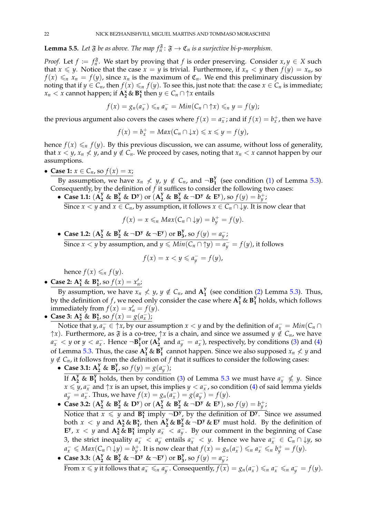<span id="page-21-0"></span>**Lemma 5.5.** Let  $\mathfrak F$  be as above. The map  $f_n^{\mathfrak F}$ :  $\mathfrak F \to \mathfrak C_n$  is a surjective bi-p-morphism.

*Proof.* Let  $f := f_n$ <sup> $\tilde{\mathfrak{F}}$ . We start by proving that *f* is order preserving. Consider  $x, y \in X$  such</sup> that  $x \leq y$ . Notice that the case  $x = y$  is trivial. Furthermore, if  $x_n \leq y$  then  $f(y) = x_n$ , so  $f(x) \leq n$   $x_n = f(y)$ , since  $x_n$  is the maximum of  $\mathfrak{C}_n$ . We end this preliminary discussion by noting that if  $y \in C_n$ , then  $f(x) \leq n$   $f(y)$ . To see this, just note that: the case  $x \in C_n$  is immediate;  $x_n < x$  cannot happen; if  $A_2^x \& B_1^x$  then  $y \in C_n \cap \uparrow x$  entails

$$
f(x)=g_n(a_x^-)\leqslant_n a_x^-=Min(C_n\cap\uparrow x)\leqslant_n y=f(y);
$$

the previous argument also covers the cases where  $f(x) = a_x^-$ ; and if  $f(x) = b_x^+$ , then we have

$$
f(x) = b_x^+ = Max(C_n \cap \downarrow x) \leq x \leq y = f(y),
$$

hence  $f(x) \leq n$   $f(y)$ . By this previous discussion, we can assume, without loss of generality, that  $x < y$ ,  $x_n \nleq y$ , and  $y \notin C_n$ . We proceed by cases, noting that  $x_n < x$  cannot happen by our assumptions.

• **Case 1:**  $x \in C_n$ , so  $f(x) = x$ ;

By assumption, we have  $x_n \nless y$ ,  $y \notin C_n$ , and  $\neg B_1^y$  $\frac{1}{1}$  (see condition [\(1\)](#page-19-3) of Lemma [5.3\)](#page-19-4). Consequently, by the definition of  $f$  it suffices to consider the following two cases:

• Case 1.1:  $(\mathbf{A}_2^y \& \mathbf{B}_2^y \& \mathbf{D}^y)$  or  $(\mathbf{A}_2^y \& \mathbf{B}_2^y \& \neg \mathbf{D}^y \& \mathbf{E}^y)$ , so  $f(y) = b_y^+$ ;

Since  $x < y$  and  $x \in C_n$ , by assumption, it follows  $x \in C_n \cap \downarrow y$ . It is now clear that

$$
f(x) = x \leq_n Max(C_n \cap \downarrow y) = b_y^+ = f(y).
$$

• **Case 1.2:**  $(A_2^y \& B_2^y \& \neg D^y \& \neg E^y)$  or  $B_3^y$ **3**, so  $f(y) = a_y^-$ ;  $\overline{\text{Since } x < y \text{ by assumption, and } y \leqslant \textit{Min}(C_n \cap \uparrow y) = a_y^-} = f(y)$ , it follows

$$
f(x) = x < y \leqslant a_y^- = f(y),
$$

hence  $f(x) \leq n f(y)$ .

• Case 2: 
$$
A_1^x \& B_1^x
$$
, so  $f(x) = x'_n$ ;

By assumption, we have  $x_n \nless y$ ,  $y \notin C_n$ , and  $A_1^y$  $\frac{y}{1}$  (see condition  $(2)$  Lemma [5.3\)](#page-19-4). Thus, by the definition of  $f$ , we need only consider the case where  $A_1^y$  &  $B_1^y$ **1** holds, which follows immediately from  $f(x) = x'_n = f(y)$ .

• Case 3:  $A_2^x$  &  $B_1^x$ , so  $f(x) = g(a_x^x)$ ;

Notice that *y*,  $a_x^- \in \uparrow x$ , by our assumption  $x < y$  and by the definition of  $a_x^- = Min(C_n \cap \downarrow x)$  $\uparrow x$ ). Furthermore, as  $\mathfrak{F}$  is a co-tree,  $\uparrow x$  is a chain, and since we assumed  $y \notin C_n$ , we have  $a_x^{\text{-}} < y$  or  $y < a_x^{\text{-}}$ . Hence  $\neg B_1^y$  $\int_1^y$ or (**A** $\int_2^y$  $\frac{y}{2}$  and  $a_y^- = a_x^-$ ), respectively, by conditions [\(3\)](#page-19-6) and [\(4\)](#page-19-7) of Lemma [5.3.](#page-19-4) Thus, the case  $A_1^y$  &  $B_1^y$  $\frac{y}{1}$  cannot happen. Since we also supposed  $x_n \nless y$  and  $y \notin C_n$ , it follows from the definition of f that it suffices to consider the following cases:

- **Case 3.1:**  $A_2^y$  &  $B_1^y$ *y*, so  $f(y) = g(a_y^-);$ If  $A_2^y$  &  $B_1^y$ **1** holds, then by condition [\(3\)](#page-19-6) of Lemma [5.3](#page-19-4) we must have  $a_x^- \nleq y$ . Since *x* ≤ *y*, *a*<sub>*x*</sub> and ↑*x* is an upset, this implies *y* < *a*<sub>*x*</sub>, so condition [\(4\)](#page-19-7) of said lemma yields  $a_y^- = a_x^-.$  Thus, we have  $f(x) = g_n(a_x^-) = g(a_y^-) = f(y)$ .
- Case 3.2:  $(A_2^y \& B_2^y \& D^y)$  or  $(A_2^y \& B_2^y \& \neg D^y \& E^y)$ , so  $f(y) = b_y^+$ ;

Notice that  $x \leq y$  and  $\overline{B_1^x}$  imply  $\neg D^y$ , by the definition of  $D^y$ . Since we assumed both  $x < y$  and  $\mathbf{A}_2^x \& \mathbf{B}_1^x$ , then  $\mathbf{A}_2^y \& \mathbf{B}_2^y \& \neg \mathbf{D}^y \& \mathbf{E}^y$  must hold. By the definition of **E**<sup>y</sup>, *x* < *y* and  $A_2^x \& B_1^x$  imply  $a_x^- < a_y^-$ . By our comment in the beginning of Case 3, the strict inequality  $a_x^- < a_y^-$  entails  $a_x^- < y$ . Hence we have  $a_x^- \in C_n \cap \downarrow y$ , so  $a_x^- \leq Max(C_n \cap \downarrow y) = b_y^+$ . It is now clear that  $f(x) = g_n(a_x^-) \leq_n a_x^- \leq_n b_y^+ = f(y)$ .<br>Case 3.3:  $(A^y \& B^y \& \neg D^y \& \neg E^y)$  or  $B^y$  so  $f(u) = g^{-1}$ .

• Case 3.3: 
$$
(A_2^y \& B_2^y \& \neg D^y \& \neg E^y)
$$
 or  $B_3^y$ , so  $f(y) = a_y^-$ 

From  $x \le y$  it follows that  $a_x^- \le_n a_y^-$ . Consequently,  $f(x) = g_n(a_x^-) \le_n a_x^- \le_n a_y^- = f(y)$ .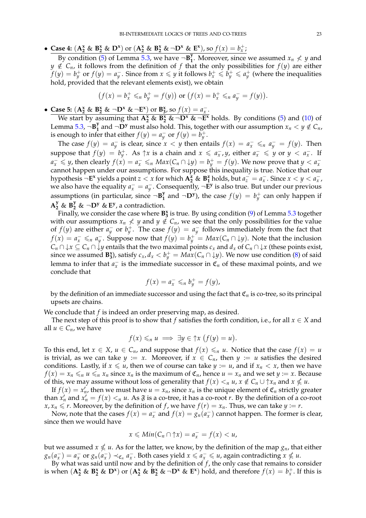• Case 4:  $(A_2^x \& B_2^x \& D^x)$  or  $(A_2^x \& B_2^x \& \neg D^x \& E^x)$ , so  $f(x) = b_x^+$ ;

By condition [\(5\)](#page-19-8) of Lemma [5.3,](#page-19-4) we have  $\neg B_1^y$ **1**. Moreover, since we assumed  $x_n \nless y$  and  $y \notin C_n$ , it follows from the definition of *f* that the only possibilities for  $f(y)$  are either *f*(*y*) = *b*<sup> ${+}$ </sup> or *f*(*y*) = *a*<sup> ${+}$ </sup>. Since from *x* ≤ *y* it follows *b*<sup> ${+}$ </sup> ≤ *b*<sup> ${+}$ </sup> ≤ *a*<sup> ${+}$ </sup> (where the inequalities hold, provided that the relevant elements exist), we obtain

$$
(f(x) = b_x^+ \leq_b b_y^+ = f(y))
$$
 or  $(f(x) = b_x^+ \leq_b a_y^- = f(y)).$ 

• Case 5:  $(A_2^x \& B_2^x \& \neg D^x \& \neg E^x)$  or  $B_3^x$ , so  $f(x) = a_x^-$ .

We start by assuming that  $A_2^x \& B_2^x \& \neg D^x \& \neg E^x$  holds. By conditions [\(5\)](#page-19-8) and [\(10\)](#page-19-9) of Lemma [5.3,](#page-19-4) ¬**B y 1** and  $\neg$ **D**<sup>*y*</sup> must also hold. This, together with our assumption  $x_n < y \notin C_n$ , is enough to infer that either  $f(y) = a_y^-$  or  $f(y) = b_y^+$ .

The case  $f(y) = a_y^-$  is clear, since  $x < y$  then entails  $f(x) = a_x^- \leq_n a_y^- = f(y)$ . Then suppose that  $f(y) = b_y^+$ . As  $\uparrow x$  is a chain and  $x \leq a_x^-, y$ , either  $a_x^- \leq y$  or  $y < a_x^-$ . If  $a_x^- \leqslant y$ , then clearly  $f(x) = a_x^- \leqslant_n Max(C_n \cap \downarrow y) = b_y^+ = f(y)$ . We now prove that  $y < a_x^-$ cannot happen under our assumptions. For suppose this inequality is true. Notice that our hypothesis  $\neg E^x$  yields a point  $z < x$  for which  $A_2^z \& B_1^z$  holds, but  $a_z = a_x^-$ . Since  $x < y < a_x^-$ , we also have the equality  $a_x^- = a_y^-$ . Consequently,  $\neg \mathbf{E}^y$  is also true. But under our previous assumptions (in particular, since ¬**B y 1** and  $\neg$ **D**<sup>*y*</sup>), the case  $f(y) = b_y^+$  can only happen if  $A_2^y$  &  $B_2^y$  &  $\neg$ **D**<sup>*y*</sup> & **E**<sup>*y*</sup>, a contradiction.

Finally, we consider the case where **B x 3** is true. By using condition [\(9\)](#page-19-10) of Lemma [5.3](#page-19-4) together with our assumptions  $x_n \nless y$  and  $y \notin C_n$ , we see that the only possibilities for the value of  $f(y)$  are either  $a_y^-$  or  $b_y^+$ . The case  $f(y) = a_y^-$  follows immediately from the fact that *f*(*x*) =  $a_x$  ≤<sub>*n*</sub>  $a_y$ . Suppose now that *f*(*y*) =  $b_y^+$  =  $Max(C_n ∩ ∤ y)$ . Note that the inclusion  $C_n \cap \downarrow x \subseteq C_n \cap \downarrow y$  entails that the two maximal points  $c_x$  and  $d_x$  of  $C_n \cap \downarrow x$  (these points exist, since we assumed  $\mathbf{B}_3^x$ ), satisfy  $c_x$ ,  $d_x < b_y^+ = Max(C_n \cap \downarrow y)$ . We now use condition [\(8\)](#page-19-11) of said lemma to infer that  $a_x^-$  is the immediate successor in  $\mathfrak{C}_n$  of these maximal points, and we conclude that

$$
f(x)=a_x^-\leq_n b_y^+=f(y),
$$

by the definition of an immediate successor and using the fact that  $\mathfrak{C}_n$  is co-tree, so its principal upsets are chains.

We conclude that *f* is indeed an order preserving map, as desired.

The next step of this proof is to show that *f* satisfies the forth condition, i.e., for all  $x \in X$  and all  $u \in C_n$ , we have

$$
f(x) \leq_n u \implies \exists y \in \uparrow x \ (f(y) = u).
$$

To this end, let  $x \in X$ ,  $u \in C_n$ , and suppose that  $f(x) \leq_n u$ . Notice that the case  $f(x) = u$ is trivial, as we can take  $y := x$ . Moreover, if  $x \in C_n$ , then  $y := u$  satisfies the desired conditions. Lastly, if  $x \le u$ , then we of course can take  $y := u$ , and if  $x_n < x$ , then we have  $f(x) = x_n \leq n$  *u*  $\leq n$  *x*<sub>*n*</sub> since *x*<sub>*n*</sub> is the maximum of  $\mathfrak{C}_n$ , hence  $u = x_n$  and we set  $y := x$ . Because of this, we may assume without loss of generality that  $f(x) <_{n} u$ ,  $x \notin C_n \cup \uparrow x_n$  and  $x \nleq u$ .

If  $f(x) = x_n'$ , then we must have  $u = x_n$ , since  $x_n$  is the unique element of  $\mathfrak{C}_n$  strictly greater than  $x'_n$  and  $x'_n = f(x) <_n u$ . As  $\mathfrak F$  is a co-tree, it has a co-root *r*. By the definition of a co-root  $x, x_n \leq r$ . Moreover, by the definition of *f* , we have  $f(r) = x_n$ . Thus, we can take  $y := r$ .

Now, note that the cases  $f(x) = a_x^-$  and  $f(x) = g_n(a_x^-)$  cannot happen. The former is clear, since then we would have

$$
x \leq Min(C_n \cap \uparrow x) = a_x^- = f(x) < u,
$$

but we assumed  $x \nleqslant u$ . As for the latter, we know, by the definition of the map  $g_n$ , that either  $g_n(a_x^-) = a_x^-$  or  $g_n(a_x^-) \prec_{\mathfrak{C}_n} a_x^-$ . Both cases yield  $x \le a_x^- \le u$ , again contradicting  $x \nleq u$ .

By what was said until now and by the definition of  $f$ , the only case that remains to consider is when  $(\mathbf{A}_2^x \& \mathbf{B}_2^x \& \mathbf{D}^x)$  or  $(\mathbf{A}_2^x \& \mathbf{B}_2^x \& \neg \mathbf{D}^x \& \mathbf{E}^x)$  hold, and therefore  $f(x) = b_x^+$ . If this is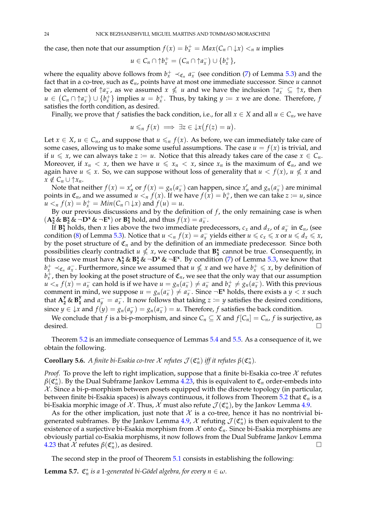the case, then note that our assumption  $f(x) = b_x^+ = Max(C_n \cap \downarrow x) <_n u$  implies

$$
u\in C_n\cap\uparrow b_x^+=\big(C_n\cap\uparrow a_x^-\big)\cup\{b_x^+\},\
$$

where the equality above follows from  $b_x^+ \prec_{\mathfrak{C}_n} a_x^-$  (see condition [\(7\)](#page-19-12) of Lemma [5.3\)](#page-19-4) and the fact that in a co-tree, such as  $\mathfrak{C}_n$ , points have at most one immediate successor. Since  $u$  cannot be an element of  $\uparrow a_x^-$ , as we assumed  $x \nleq u$  and we have the inclusion  $\uparrow a_x^- \subseteq \uparrow x$ , then  $u \in (C_n \cap \uparrow a_x^-) \cup \{b_x^+\}$  implies  $u = b_x^+$ . Thus, by taking  $y := x$  we are done. Therefore, *f* satisfies the forth condition, as desired.

Finally, we prove that *f* satisfies the back condition, i.e., for all  $x \in X$  and all  $u \in C_n$ , we have

$$
u\leqslant_n f(x) \implies \exists z\in \mathcal{\downarrow} x\bigl(f(z)=u\bigr).
$$

Let  $x \in X$ ,  $u \in C_n$ , and suppose that  $u \leq n$   $f(x)$ . As before, we can immediately take care of some cases, allowing us to make some useful assumptions. The case  $u = f(x)$  is trivial, and if  $u \leq x$ , we can always take  $z := u$ . Notice that this already takes care of the case  $x \in C_n$ . Moreover, if  $x_n < x$ , then we have  $u \le x_n < x$ , since  $x_n$  is the maximum of  $\mathfrak{C}_n$ , and we again have  $u \le x$ . So, we can suppose without loss of generality that  $u < f(x)$ ,  $u \nle x$  and  $x \notin C_n \cup \uparrow x_n$ .

Note that neither  $f(x) = x'_n$  or  $f(x) = g_n(a_x^-)$  can happen, since  $x'_n$  and  $g_n(a_x^-)$  are minimal points in  $\mathfrak{C}_n$ , and we assumed  $u <_n f(x)$ . If we have  $f(x) = b_x^+$ , then we can take  $z := u$ , since  $u <sub>n</sub> f(x) = b_x^+ = Min(C_n \cap \downarrow x)$  and  $f(u) = u$ .

By our previous discussions and by the definition of *f*, the only remaining case is when  $(A_2^{\times} \& B_2^{\times} \& \neg D^{\times} \& \neg E^{\times})$  or  $B_3^{\times}$  hold, and thus  $f(x) = a_x^{-}$ .

If **B**<sup>*x*</sup></sup> holds, then *x* lies above the two immediate predecessors,  $c_x$  and  $d_x$ , of  $a_x^-$  in  $\mathfrak{C}_n$ , (see condition [\(8\)](#page-19-11) of Lemma [5.3\)](#page-19-4). Notice that  $u <sub>n</sub> f(x) = a_x$  yields either  $u \le c_x \le x$  or  $u \le d_x \le x$ , by the poset structure of  $\mathfrak{C}_n$  and by the definition of an immediate predecessor. Since both possibilities clearly contradict  $u \nleq x$ , we conclude that  $\mathbf{B}_{3}^{x}$  cannot be true. Consequently, in this case we must have  $A_2^x \& B_2^x \& \neg D^x \& \neg E^x$ . By condition [\(7\)](#page-19-12) of Lemma [5.3,](#page-19-4) we know that *b*<sup>+</sup><sub>*x*</sub> ≺<sub>*c<sub>n</sub>*</sub>  $a_x^-$ . Furthermore, since we assumed that  $u \nleq x$  and we have  $b_x^+$  ≤ *x*, by definition of  $b_x^+$ , then by looking at the poset structure of  ${\mathfrak C}_n$ , we see that the only way that our assumption  $u <sub>n</sub> f(x) = a_x^-$  can hold is if we have  $u = g_n(a_x^-) \neq a_x^-$  and  $b_x^+ \neq g_n(a_x^-)$ . With this previous comment in mind, we suppose  $u = g_n(a_x^-) \neq a_x^-$ . Since  $\neg$ **E**<sup>*x*</sup> holds, there exists a *y* < *x* such that  $A_2^y \& B_1^y$ **<sup>y</sup>**</sup> and  $a_y^- = a_x^-$ . It now follows that taking  $z := y$  satisfies the desired conditions, since  $y \in \mathcal{F}x$  and  $f(y) = g_n(a_y) = g_n(a_x) = u$ . Therefore, *f* satisfies the back condition.

We conclude that *f* is a bi-p-morphism, and since  $C_n \subseteq X$  and  $f[C_n] = C_n$ , *f* is surjective, as desired.  $\Box$ 

Theorem [5.2](#page-19-1) is an immediate consequence of Lemmas [5.4](#page-20-0) and [5.5.](#page-21-0) As a consequence of it, we obtain the following.

# <span id="page-23-0"></span>**Corollary 5.6.** *A finite bi-Esakia co-tree X refutes*  $\mathcal{J}(\mathfrak{C}_n^*)$  *iff it refutes*  $\beta(\mathfrak{C}_n^*)$ *.*

*Proof.* To prove the left to right implication, suppose that a finite bi-Esakia co-tree  $X$  refutes  $\beta(\mathfrak{C}_n^*)$ . By the Dual Subframe Jankov Lemma [4.23,](#page-17-0) this is equivalent to  $\mathfrak{C}_n$  order-embeds into  $X$ . Since a bi-p-morphism between posets equipped with the discrete topology (in particular, between finite bi-Esakia spaces) is always continuous, it follows from Theorem  $5.2$  that  $\mathfrak{C}_n$  is a bi-Esakia morphic image of  $\mathcal X.$  Thus,  $\mathcal X$  must also refute  $\mathcal J(\mathfrak{C}_n^*)$ , by the Jankov Lemma [4.9.](#page-13-1)

As for the other implication, just note that  $\mathcal X$  is a co-tree, hence it has no nontrivial bi-generated subframes. By the Jankov Lemma [4.9,](#page-13-1)  $\mathcal X$  refuting  $\mathcal J(\mathfrak{C}_n^*)$  is then equivalent to the existence of a surjective bi-Esakia morphism from  $\mathcal X$  onto  $\mathfrak{C}_n$ . Since bi-Esakia morphisms are obviously partial co-Esakia morphisms, it now follows from the Dual Subframe Jankov Lemma [4.23](#page-17-0) that  $\mathcal{X}$  refutes  $\beta(\mathfrak{C}_n^*)$ , as desired.

The second step in the proof of Theorem [5.1](#page-18-1) consists in establishing the following:

<span id="page-23-1"></span>**Lemma 5.7.**  $\mathfrak{C}_n^*$  *is a* 1-generated bi-Gödel algebra, for every  $n \in \omega$ .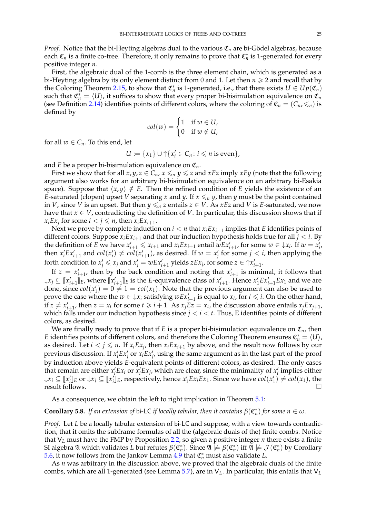*Proof.* Notice that the bi-Heyting algebras dual to the various  $\mathfrak{C}_n$  are bi-Gödel algebras, because each  $\mathfrak{C}_n$  is a finite co-tree. Therefore, it only remains to prove that  $\mathfrak{C}_n^*$  is 1-generated for every positive integer *n*.

First, the algebraic dual of the 1-comb is the three element chain, which is generated as a bi-Heyting algebra by its only element distinct from 0 and 1. Let then  $n \geq 2$  and recall that by the Coloring Theorem [2.15,](#page-6-0) to show that  $\mathfrak{C}_n^*$  is 1-generated, i.e., that there exists  $U \in Up(\mathfrak{C}_n)$ such that  $\mathfrak{C}_n^* = \langle U \rangle$ , it suffices to show that every proper bi-bisimulation equivalence on  $\mathfrak{C}_n$ (see Definition [2.14\)](#page-6-1) identifies points of different colors, where the coloring of  $\mathfrak{C}_n = (C_n, \leq_n)$  is defined by

$$
col(w) = \begin{cases} 1 & \text{if } w \in U, \\ 0 & \text{if } w \notin U, \end{cases}
$$

for all  $w \in C_n$ . To this end, let

*U* := {*x*<sub>1</sub>} ∪ ↑{*x*<sup>*i*</sup> ∈ *C*<sub>*n*</sub> : *i* ≤ *n* is even},

and *E* be a proper bi-bisimulation equivalence on  $\mathfrak{C}_n$ .

First we show that for all  $x, y, z \in C_n$ ,  $x \leq n$   $y \leq z$  and  $xEz$  imply  $xEy$  (note that the following argument also works for an arbitrary bi-bisimulation equivalence on an arbitrary bi-Esakia space). Suppose that  $\langle x, y \rangle \notin E$ . Then the refined condition of *E* yields the existence of an *E*-saturated (clopen) upset *V* separating *x* and *y*. If  $x \le n$  *y*, then *y* must be the point contained in *V*, since *V* is an upset. But then  $y \leq n z$  entails  $z \in V$ . As  $xEz$  and *V* is *E*-saturated, we now have that  $x \in V$ , contradicting the definition of *V*. In particular, this discussion shows that if  $x_i E x_j$  for some  $i < j \leq n$ , then  $x_i E x_{i+1}$ .

Next we prove by complete induction on  $i < n$  that  $x_i E x_{i+1}$  implies that *E* identifies points of different colors. Suppose  $x_i Ex_{i+1}$  and that our induction hypothesis holds true for all  $j < i$ . By the definition of E we have  $x'_{i+1} \le x_{i+1}$  and  $x_i Ex_{i+1}$  entail  $wEx'_{i+1}$ , for some  $w \in \mathcal{X}_i$ . If  $w = x'_i$ , then  $x'_i E x'_{i+1}$  and  $col(x'_i) \neq col(x'_{i+1})$ , as desired. If  $w = x'_j$  for some  $j < i$ , then applying the forth condition to  $x'_j \leq x_j$  and  $x'_j = wEx'_{i+1}$  yields  $zEx_j$ , for some  $z \in \uparrow x'_{i+1}$ .

If  $z = x'_{i+1}$ , then by the back condition and noting that  $x'_{i+1}$  is minimal, it follows that  $\downarrow x_j \subseteq [x'_{i+1}]_E$ , where  $[x'_{i+1}]_E$  is the *E*-equivalence class of  $x'_{i+1}$ . Hence  $x'_1 E x'_{i+1} E x_1$  and we are done, since  $col(x_1') = 0 \neq 1 = col(x_1)$ . Note that the previous argument can also be used to prove the case where the  $w \in \{x_i\}$  satisfying  $wEx'_{i+1}$  is equal to  $x_i$ , for  $l \leq i$ . On the other hand, if  $z \neq x'_{i+1}$ , then  $z = x_t$  for some  $t \geq i+1$ . As  $x_j E z = x_t$ , the discussion above entails  $x_j E x_{j+1}$ , which falls under our induction hypothesis since  $j < i < t$ . Thus, E identifies points of different colors, as desired.

We are finally ready to prove that if  $E$  is a proper bi-bisimulation equivalence on  $\mathfrak{C}_n$ , then *E* identifies points of different colors, and therefore the Coloring Theorem ensures  $\mathfrak{C}_n^* = \langle U \rangle$ , as desired. Let  $i < j \le n$ . If  $x_i E x_j$ , then  $x_i E x_{i+1}$  by above, and the result now follows by our previous discussion. If  $x'_i E x'_j$  or  $x'_i E x'_j$ , using the same argument as in the last part of the proof by induction above yields *E*-equivalent points of different colors, as desired. The only cases that remain are either  $x'_i E x_i$  or  $\overline{x}'_i E x_j$ , which are clear, since the minimality of  $x'_i$  implies either  $\downarrow$  $x_i \subseteq [x'_i]_E$  or  $\downarrow$  $x_j \subseteq [x'_i]_E$ , respectively, hence  $x'_1 Ex_i Ex_1$ . Since we have  $col(x'_1) \neq col(x_1)$ , the result follows.

As a consequence, we obtain the left to right implication in Theorem [5.1:](#page-18-1)

# <span id="page-24-0"></span>**Corollary 5.8.** *If an extension of bi-LC if locally tabular, then it contains*  $\beta(\mathfrak{C}_n^*)$  *for some*  $n \in \omega$ *.*

*Proof.* Let *L* be a locally tabular extension of bi-LC and suppose, with a view towards contradiction, that it omits the subframe formulas of all the (algebraic duals of the) finite combs. Notice that V*<sup>L</sup>* must have the FMP by Proposition [2.2,](#page-2-0) so given a positive integer *n* there exists a finite SI algebra  $\mathfrak A$  which validates  $L$  but refutes  $\beta(\mathfrak C_n^*)$ . Since  $\mathfrak A \not\models \beta(\mathfrak C_n^*)$  iff  $\mathfrak A \not\models \mathcal J(\mathfrak C_n^*)$  by Corollary [5.6,](#page-23-0) it now follows from the Jankov Lemma  $4.9$  that  $\mathfrak{C}_n^*$  must also validate *L*.

As *n* was arbitrary in the discussion above, we proved that the algebraic duals of the finite combs, which are all 1-generated (see Lemma [5.7\)](#page-23-1), are in V*L*. In particular, this entails that V*<sup>L</sup>*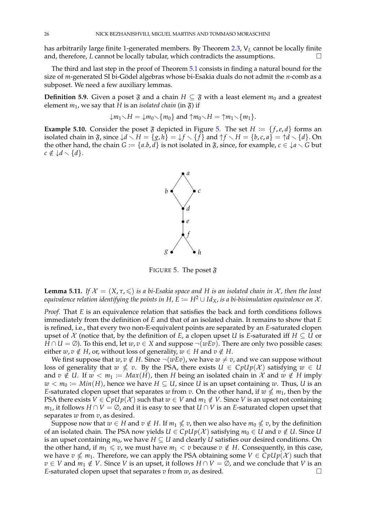has arbitrarily large finite 1-generated members. By Theorem [2.3,](#page-3-2) V*<sup>L</sup>* cannot be locally finite and, therefore, *L* cannot be locally tabular, which contradicts the assumptions.

The third and last step in the proof of Theorem [5.1](#page-18-1) consists in finding a natural bound for the size of *m*-generated SI bi-Gödel algebras whose bi-Esakia duals do not admit the *n*-comb as a subposet. We need a few auxiliary lemmas.

**Definition 5.9.** Given a poset  $\mathfrak{F}$  and a chain  $H \subseteq \mathfrak{F}$  with a least element  $m_0$  and a greatest element  $m_1$ , we say that *H* is an *isolated chain* (in  $\mathfrak{F}$ ) if

$$
\downarrow m_1 \setminus H = \downarrow m_0 \setminus \{m_0\} \text{ and } \uparrow m_0 \setminus H = \uparrow m_1 \setminus \{m_1\}.
$$

**Example [5.](#page-25-0)10.** Consider the poset  $\mathfrak{F}$  depicted in Figure 5. The set  $H := \{f, e, d\}$  forms an isolated chain in  $\mathfrak{F}$ , since  $\{d \setminus H = \{g, h\} = \{f \setminus \{f\} \}$  and  $\{\dagger \setminus H = \{b, c, a\} = \{\dagger d \setminus \{d\}.$  On the other hand, the chain  $G := \{a.b, d\}$  is not isolated in  $\mathfrak{F}$ , since, for example,  $c \in \mathcal{L}a \setminus G$  but  $c \notin \mathcal{A} \setminus \{d\}.$ 



<span id="page-25-0"></span>FIGURE 5. The poset  $\mathfrak{F}$ 

<span id="page-25-1"></span>**Lemma 5.11.** *If*  $\mathcal{X} = (X, \tau, \leq)$  *is a bi-Esakia space and H is an isolated chain in*  $\mathcal{X}$ *, then the least equivalence relation identifying the points in*  $H$ ,  $E := H^2 \cup Id_X$ , *is a bi-bisimulation equivalence on*  $\mathcal{X}$ *.* 

*Proof.* That *E* is an equivalence relation that satisfies the back and forth conditions follows immediately from the definition of *E* and that of an isolated chain. It remains to show that *E* is refined, i.e., that every two non-E-equivalent points are separated by an *E*-saturated clopen upset of  $X$  (notice that, by the definition of *E*, a clopen upset *U* is *E*-saturated iff  $H \subseteq U$  or *H* ∩ *U* = ∅). To this end, let *w*, *v* ∈ *X* and suppose  $\neg$  (*wEv*). There are only two possible cases: either *w*, *v*  $\notin$  *H*, or, without loss of generality, *w*  $\in$  *H* and *v*  $\notin$  *H*.

We first suppose that  $w, v \notin H$ . Since  $\neg(wEv)$ , we have  $w \neq v$ , and we can suppose without loss of generality that  $w \nleq v$ . By the PSA, there exists  $U \in CpUp(\mathcal{X})$  satisfying  $w \in U$ and  $v \notin U$ . If  $w < m_1 := Max(H)$ , then *H* being an isolated chain in  $\mathcal X$  and  $w \notin H$  imply *w* < *m*<sup>0</sup> := *Min*(*H*), hence we have *H* ⊆ *U*, since *U* is an upset containing *w*. Thus, *U* is an *E*-saturated clopen upset that separates *w* from *v*. On the other hand, if  $w \nleq m_1$ , then by the PSA there exists  $V \in CpUp(X)$  such that  $w \in V$  and  $m_1 \notin V$ . Since *V* is an upset not containing *m*<sub>1</sub>, it follows *H* ∩ *V* = ∅, and it is easy to see that *U* ∩ *V* is an *E*-saturated clopen upset that separates *w* from *v*, as desired.

Suppose now that  $w \in H$  and  $v \notin H.$  If  $m_1 \nleqslant v$ , then we also have  $m_0 \nleqslant v$ , by the definition of an isolated chain. The PSA now yields  $U \in CpUp(\mathcal{X})$  satisfying  $m_0 \in U$  and  $v \notin U$ . Since  $U$ is an upset containing  $m_0$ , we have  $H \subseteq U$  and clearly *U* satisfies our desired conditions. On the other hand, if  $m_1 \le v$ , we must have  $m_1 < v$  because  $v \notin H$ . Consequently, in this case, we have  $v \nleq m_1$ . Therefore, we can apply the PSA obtaining some  $V \in \dot{C}pUp(\mathcal{X})$  such that *v* ∈ *V* and  $m_1$  ∉ *V*. Since *V* is an upset, it follows  $H \cap V = \emptyset$ , and we conclude that *V* is an *E*-saturated clopen upset that separates *v* from *w*, as desired.  $\square$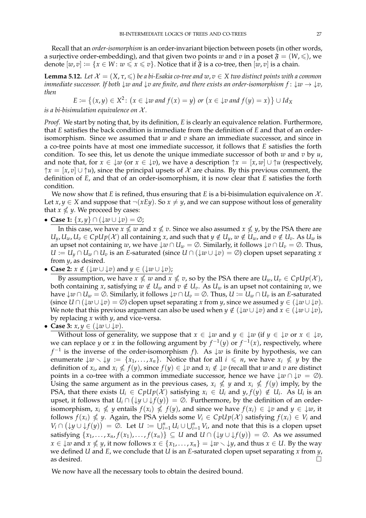Recall that an *order-isomorphism* is an order-invariant bijection between posets (in other words, a surjective order-embedding), and that given two points *w* and *v* in a poset  $\mathfrak{F} = (W, \leqslant)$ , we denote  $[w, v] := \{x \in W : w \le x \le v\}$ . Notice that if  $\mathfrak F$  is a co-tree, then  $[w, v]$  is a chain.

<span id="page-26-0"></span>**Lemma 5.12.** *Let*  $\mathcal{X} = (X, \tau, \leq)$  *be a bi-Esakia co-tree and*  $w, v \in X$  *two distinct points with a common immediate successor. If both*  $\downarrow w$  *and*  $\downarrow v$  *are finite, and there exists an order-isomorphism*  $f: \downarrow w \rightarrow \downarrow v$ , *then*

$$
E := \{(x, y) \in X^2 \colon (x \in \downarrow w \text{ and } f(x) = y) \text{ or } (x \in \downarrow v \text{ and } f(y) = x)\} \cup Id_X
$$

*is a bi-bisimulation equivalence on* X *.*

*Proof.* We start by noting that, by its definition, *E* is clearly an equivalence relation. Furthermore, that *E* satisfies the back condition is immediate from the definition of *E* and that of an orderisomorphism. Since we assumed that *w* and *v* share an immediate successor, and since in a co-tree points have at most one immediate successor, it follows that *E* satisfies the forth condition. To see this, let us denote the unique immediate successor of both *w* and *v* by *u*, and note that, for  $x \in \{w \text{ (or } x \in \{v\}\text{), we have a description } \mathcal{\uparrow} x = [x, w] \cup \mathcal{\uparrow} u$  (respectively,  $\uparrow x = [x, v] \cup \uparrow u$ , since the principal upsets of X are chains. By this previous comment, the definition of *E*, and that of an order-isomorphism, it is now clear that *E* satisfies the forth condition.

We now show that *E* is refined, thus ensuring that *E* is a bi-bisimulation equivalence on  $\mathcal{X}$ . Let *x*, *y*  $\in$  *X* and suppose that  $\neg$ (*xEy*). So *x*  $\neq$  *y*, and we can suppose without loss of generality that  $x \nleq y$ . We proceed by cases:

• **Case 1:** {*x*, *y*} ∩ (↓*w* ∪ ↓*v*) = ∅;

In this case, we have  $x \nleq w$  and  $x \nleq v$ . Since we also assumed  $x \nleq y$ , by the PSA there are  $U_y, U_w, U_v \in CpUp(\mathcal{X})$  all containing x, and such that  $y \notin U_y$ ,  $w \notin U_w$ , and  $v \notin U_v$ . As  $U_w$  is an upset not containing *w*, we have  $\downarrow w \cap U_w = \emptyset$ . Similarly, it follows  $\downarrow v \cap U_v = \emptyset$ . Thus,  $U := U_y \cap U_w \cap U_z$  is an *E*-saturated (since  $U \cap (\downarrow w \cup \downarrow v) = \emptyset$ ) clopen upset separating *x* from *y*, as desired.

• **Case 2:**  $x \notin (\downarrow w \cup \downarrow v)$  and  $y \in (\downarrow w \cup \downarrow v)$ ;

By assumption, we have  $x \nleq w$  and  $x \nleq v$ , so by the PSA there are  $U_w, U_v \in CpUp(\mathcal{X})$ , both containing *x*, satisfying  $w \notin U_w$  and  $v \notin U_v$ . As  $U_w$  is an upset not containing  $w$ , we have  $\downarrow w \cap U_w = \emptyset$ . Similarly, it follows  $\downarrow v \cap U_v = \emptyset$ . Thus,  $U := U_w \cap U_v$  is an *E*-saturated (since  $U \cap (\downarrow w \cup \downarrow v) = \emptyset$ ) clopen upset separating *x* from *y*, since we assumed  $y \in (\downarrow w \cup \downarrow v)$ . We note that this previous argument can also be used when  $y \notin (\downarrow w \cup \downarrow v)$  and  $x \in (\downarrow w \cup \downarrow v)$ , by replacing *x* with *y*, and vice-versa.

• Case 3: 
$$
x, y \in (\downarrow w \cup \downarrow v)
$$
.

Without loss of generality, we suppose that  $x \in \{w\}$  and  $y \in \{w\}$  (if  $y \in \{v\}$  or  $x \in \{v\}$ , we can replace *y* or *x* in the following argument by  $f^{-1}(y)$  or  $f^{-1}(x)$ , respectively, where *f*<sup>-1</sup> is the inverse of the order-isomorphism *f*). As  $\downarrow w$  is finite by hypothesis, we can enumerate  $\downarrow w \setminus \downarrow y := \{x_1, \ldots, x_n\}$ . Notice that for all  $i \leq n$ , we have  $x_i \nleq y$  by the definition of  $x_i$ , and  $x_i \nleq f(y)$ , since  $f(y) \in \{v \text{ and } x_i \notin \{v\}$  (recall that  $w$  and  $v$  are distinct points in a co-tree with a common immediate successor, hence we have  $\downarrow w \cap \downarrow v = \emptyset$ ). Using the same argument as in the previous cases,  $x_i \nleq y$  and  $x_i \nleq f(y)$  imply, by the PSA, that there exists  $U_i \in CpUp(\mathcal{X})$  satisfying  $x_i \in U_i$  and  $y, f(y) \notin U_i$ . As  $U_i$  is an upset, it follows that  $U_i \cap (\downarrow y \cup \downarrow f(y)) = \emptyset$ . Furthermore, by the definition of an orderisomorphism,  $x_i \nleq y$  entails  $f(x_i) \nleq f(y)$ , and since we have  $f(x_i) \in \mathcal{L}v$  and  $y \in \mathcal{L}w$ , it follows  $f(x_i) \nleq y$ . Again, the PSA yields some  $V_i \in CpUp(\mathcal{X})$  satisfying  $f(x_i) \in V_i$  and  $V_i \cap (\downarrow y \cup \downarrow f(y)) = \emptyset$ . Let  $U := \bigcup_{i=1}^n U_i \cup \bigcup_{i=1}^n V_i$ , and note that this is a clopen upset satisfying  $\{x_1,\ldots,x_n,f(x_1),\ldots,f(x_n)\}\subseteq U$  and  $U\cap (\downarrow\!y\cup\downarrow\!f(y))=\varnothing$ . As we assumed  $x \in \{x_1, \ldots, x_n\} = x \cup \{y, y\}$ , it now follows  $x \in \{x_1, \ldots, x_n\} = x \cup \{y, y\}$  and thus  $x \in U$ . By the way we defined *U* and *E*, we conclude that *U* is an *E*-saturated clopen upset separating *x* from *y*, as desired.

We now have all the necessary tools to obtain the desired bound.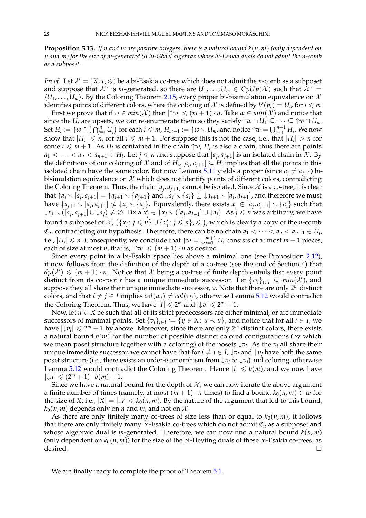<span id="page-27-0"></span>**Proposition 5.13.** *If n and m are positive integers, there is a natural bound k*(*n*, *m*) *(only dependent on n and m) for the size of m-generated SI bi-G¨odel algebras whose bi-Esakia duals do not admit the n-comb as a subposet.*

*Proof.* Let  $\mathcal{X} = (X, \tau, \leq)$  be a bi-Esakia co-tree which does not admit the *n*-comb as a subposet and suppose that  $\mathcal{X}^*$  is *m*-generated, so there are  $U_1,\ldots,U_m\in CpUp(\mathcal{X})$  such that  $\tilde{\mathcal{X}}^*=$  $\langle U_1, \ldots, U_m \rangle$ . By the Coloring Theorem [2.15,](#page-6-0) every proper bi-bisimulation equivalence on X identifies points of different colors, where the coloring of  $X$  is defined by  $V(p_i) = U_i$ , for  $i \leq m$ .

First we prove that if  $w \in min(X)$  then  $|\uparrow w| \leq (m+1) \cdot n$ . Take  $w \in min(X)$  and notice that since the *U*<sup>*i*</sup> are upsets, we can re-enumerate them so they satisfy  $\uparrow w \cap U_1 \subseteq \cdots \subseteq \uparrow w \cap U_m$ . Set  $H_i\coloneqq \uparrow\!\! w\cap\big(\cap_{j=i}^m U_j\big)$  for each  $i\leqslant m$ ,  $H_{m+1}\coloneqq \uparrow\!\! w\smallsetminus U_m$ , and notice  $\uparrow\!\! w=\bigcup_{i=1}^{m+1} H_i.$  We now show that  $|H_i| \leq n$ , for all  $i \leq m+1$ . For suppose this is not the case, i.e., that  $|H_i| > n$  for some  $i \leq m + 1$ . As  $H_i$  is contained in the chain  $\uparrow w$ ,  $H_i$  is also a chain, thus there are points  $a_1 < \cdots < a_n < a_{n+1} \in H_i$ . Let  $j \leqslant n$  and suppose that  $[a_j, a_{j+1}]$  is an isolated chain in X. By the definitions of our coloring of  $\mathcal X$  and of  $H_i$ ,  $[a_j, a_{j+1}] \subseteq H_i$  implies that all the points in this isolated chain have the same color. But now Lemma [5.11](#page-25-1) yields a proper (since  $a_j \neq a_{j+1}$ ) bibisimulation equivalence on  $X$  which does not identify points of different colors, contradicting the Coloring Theorem. Thus, the chain  $[a_j, a_{j+1}]$  cannot be isolated. Since  $\mathcal X$  is a co-tree, it is clear that  $\uparrow a_j \setminus [a_j, a_{j+1}] = \uparrow a_{j+1} \setminus \{a_{j+1}\}\$  and  $\downarrow a_j \setminus \{a_j\} \subseteq \downarrow a_{j+1} \setminus [a_j, a_{j+1}]$ , and therefore we must have  $\downarrow a_{j+1} \setminus [a_j,a_{j+1}] \nleq \downarrow a_j \setminus \{a_j\}.$  Equivalently, there exists  $x_j \in [a_j,a_{j+1}] \setminus \{a_j\}$  such that  $\downarrow \! x_j \smallsetminus ([a_j,a_{j+1}]\cup \downarrow \! a_j)\neq \varnothing.$  Fix a  $x'_j\in \vphantom{\tilde{\downarrow}}\! x_j\smallsetminus ([a_j,a_{j+1}]\cup \downarrow \! a_j).$  As  $j\leqslant n$  was arbitrary, we have found a subposet of  $\mathcal{X}$ ,  $(\{x_j : j \leqslant n\} \cup \{x'_j : j \leqslant n\}, \leqslant)$ , which is clearly a copy of the *n*-comb  $\mathfrak{C}_n$ , contradicting our hypothesis. Therefore, there can be no chain  $a_1 < \cdots < a_n < a_{n+1} \in H_i$ , i.e.,  $|H_i| \leq n$ . Consequently, we conclude that  $\uparrow w = \bigcup_{i=1}^{m+1} H_i$  consists of at most  $m+1$  pieces, each of size at most *n*, that is,  $|\uparrow w| \leq (m + 1) \cdot n$  as desired.

Since every point in a bi-Esakia space lies above a minimal one (see Proposition [2.12\)](#page-5-1), it now follows from the definition of the depth of a co-tree (see the end of Section 4) that  $dp(X) \leq (m+1) \cdot n$ . Notice that X being a co-tree of finite depth entails that every point distinct from its co-root *r* has a unique immediate successor. Let  $\{w_i\}_{i\in I} \subseteq min(X)$ , and suppose they all share their unique immediate successor, *v*. Note that there are only 2*<sup>m</sup>* distinct colors, and that  $i \neq j \in I$  implies  $col(w_i) \neq col(w_j)$ , otherwise Lemma [5.12](#page-26-0) would contradict the Coloring Theorem. Thus, we have  $|I| \le 2^m$  and  $|\downarrow v| \le 2^m + 1$ .

Now, let  $u \in X$  be such that all of its strict predecessors are either minimal, or are immediate successors of minimal points. Set  $\{v_i\}_{i\in I} \coloneqq \{y\in X\colon y\prec u\}$ , and notice that for all  $i\in I$ , we have  $|\downarrow v_i| \le 2^m + 1$  by above. Moreover, since there are only 2<sup>*m*</sup> distinct colors, there exists a natural bound  $b(m)$  for the number of possible distinct colored configurations (by which we mean poset structure together with a coloring) of the posets ↓*v<sup>i</sup>* . As the *v<sup>i</sup>* all share their unique immediate successor, we cannot have that for  $i \neq j \in I$ ,  $\downarrow v_i$  and  $\downarrow v_j$  have both the same poset structure (i.e., there exists an order-isomorphism from  $\downarrow v_i$  to  $\downarrow v_j$ ) and coloring, otherwise Lemma [5.12](#page-26-0) would contradict the Coloring Theorem. Hence  $|I| \leq b(m)$ , and we now have  $|\downarrow u| \leq (2^m + 1) \cdot b(m) + 1.$ 

Since we have a natural bound for the depth of  $\mathcal{X}$ , we can now iterate the above argument a finite number of times (namely, at most  $(m + 1) \cdot n$  times) to find a bound  $k_0(n, m) \in \omega$  for the size of *X*, i.e.,  $|X| = |\mathcal{Y}| \le k_0(n,m)$ . By the nature of the argument that led to this bound,  $k_0(n,m)$  depends only on *n* and *m*, and not on X.

As there are only finitely many co-trees of size less than or equal to  $k_0(n,m)$ , it follows that there are only finitely many bi-Esakia co-trees which do not admit C*<sup>n</sup>* as a subposet and whose algebraic dual is *m*-generated. Therefore, we can now find a natural bound  $k(n, m)$ (only dependent on  $k_0(n, m)$ ) for the size of the bi-Heyting duals of these bi-Esakia co-trees, as desired.

We are finally ready to complete the proof of Theorem  $5.1$ .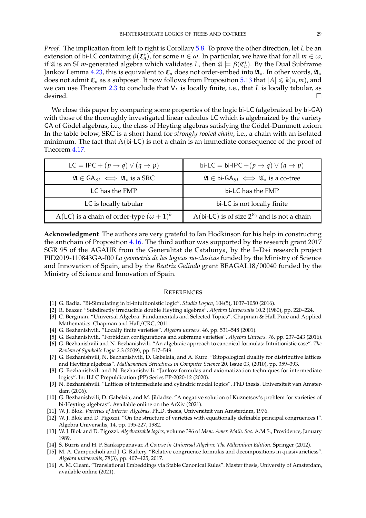*Proof.* The implication from left to right is Corollary [5.8.](#page-24-0) To prove the other direction, let *L* be an extension of bi-LC containing  $β$ ( $\mathfrak{C}_n^*$ ), for some *n* ∈ *ω*. In particular, we have that for all *m* ∈ *ω*, if  $\mathfrak A$  is an SI *m*-generated algebra which validates *L*, then  $\mathfrak A \models \beta({\mathfrak C}_n^*)$ . By the Dual Subframe Jankov Lemma [4.23,](#page-17-0) this is equivalent to  $\mathfrak{C}_n$  does not order-embed into  $\mathfrak{A}_*$ . In other words,  $\mathfrak{A}_*$ does not admit  $\mathfrak{C}_n$  as a subposet. It now follows from Proposition [5.13](#page-27-0) that  $|A| \leq k(n,m)$ , and we can use Theorem [2.3](#page-3-2) to conclude that V*<sup>L</sup>* is locally finite, i.e., that *L* is locally tabular, as  $\overline{\phantom{a}}$  desired.

We close this paper by comparing some properties of the logic bi-LC (algebraized by bi-GA) with those of the thoroughly investigated linear calculus LC which is algebraized by the variety GA of Gödel algebras, i.e., the class of Heyting algebras satisfying the Gödel-Dummett axiom. In the table below, SRC is a short hand for *strongly rooted chain*, i.e., a chain with an isolated minimum. The fact that  $\Lambda$ (bi-LC) is not a chain is an immediate consequence of the proof of Theorem [4.17.](#page-16-0)

| LC = IPC + $(p \rightarrow q) \vee (q \rightarrow p)$             | bi-LC = bi-IPC + $(p \rightarrow q) \vee (q \rightarrow p)$                             |
|-------------------------------------------------------------------|-----------------------------------------------------------------------------------------|
| $\mathfrak{A} \in \mathsf{GA}_{SI} \iff \mathfrak{A}_*$ is a SRC  | $\mathfrak{A} \in \mathsf{bi}\text{-}\mathsf{GA}_{SI} \iff \mathfrak{A}_*$ is a co-tree |
| LC has the FMP                                                    | bi-LC has the FMP                                                                       |
| LC is locally tabular                                             | bi-LC is not locally finite                                                             |
| $\Lambda$ (LC) is a chain of order-type $(\omega + 1)^{\partial}$ | $\Lambda$ (bi-LC) is of size $2^{\aleph_0}$ and is not a chain                          |

**Acknowledgment** The authors are very grateful to Ian Hodkinson for his help in constructing the antichain of Proposition [4.16.](#page-14-2) The third author was supported by the research grant 2017 SGR 95 of the AGAUR from the Generalitat de Catalunya, by the I+D+i research project PID2019-110843GA-I00 *La geometria de las logicas no-clasicas* funded by the Ministry of Science and Innovation of Spain, and by the *Beatriz Galindo* grant BEAGAL18/00040 funded by the Ministry of Science and Innovation of Spain.

#### **REFERENCES**

- <span id="page-28-5"></span>[1] G. Badia. "Bi-Simulating in bi-intuitionistic logic". *Studia Logica*, 104(5), 1037–1050 (2016).
- <span id="page-28-4"></span>[2] R. Beazer. "Subdirectly irreducible double Heyting algebras". *Algebra Universalis* 10.2 (1980), pp. 220–224.
- <span id="page-28-9"></span>[3] C. Bergman. "Universal Algebra: Fundamentals and Selected Topics". Chapman & Hall Pure and Applied Mathematics. Chapman and Hall/CRC, 2011.
- <span id="page-28-12"></span>[4] G. Bezhanishvili. "Locally finite varieties". *Algebra univers.* 46, pp. 531–548 (2001).
- <span id="page-28-15"></span>[5] G. Bezhanishvili. "Forbidden configurations and subframe varieties". *Algebra Univers. 76*, pp. 237–243 (2016).
- <span id="page-28-14"></span>[6] G. Bezhanishvili and N. Bezhanishvili. "An algebraic approach to canonical formulas: Intuitionistic case". *The Review of Symbolic Logic* 2.3 (2009), pp. 517–549.
- <span id="page-28-3"></span>[7] G. Bezhanishvili, N. Bezhanishvili, D. Gabelaia, and A. Kurz. "Bitopological duality for distributive lattices and Heyting algebras". *Mathematical Structures in Computer Science* 20, Issue 03, (2010), pp. 359–393.
- <span id="page-28-8"></span>[8] G. Bezhanishvili and N. Bezhanishvili. "Jankov formulas and axiomatization techniques for intermediate logics". In: ILLC Prepublication (PP) Series PP-2020-12 (2020).
- <span id="page-28-13"></span>[9] N. Bezhanishvili. "Lattices of intermediate and cylindric modal logics". PhD thesis. Universiteit van Amsterdam (2006).
- <span id="page-28-6"></span>[10] G. Bezhanishvili, D. Gabelaia, and M. Jibladze. "A negative solution of Kuznetsov's problem for varieties of bi-Heyting algebras". Available online on the ArXiv (2021).
- <span id="page-28-0"></span>[11] W. J. Blok. *Varieties of Interior Algebras*. Ph.D. thesis, Universiteit van Amsterdam, 1976.
- <span id="page-28-11"></span>[12] W. J. Blok and D. Pigozzi. "On the structure of varieties with equationally definable principal congruences I". Algebra Universalis, 14, pp. 195-227, 1982.
- <span id="page-28-2"></span>[13] W. J. Blok and D. Pigozzi. *Algebraizable logics*, volume 396 of *Mem. Amer. Math. Soc.* A.M.S., Providence, January 1989.
- <span id="page-28-10"></span>[14] S. Burris and H. P. Sankappanavar. *A Course in Universal Algebra: The Milennium Edition*. Springer (2012).
- <span id="page-28-7"></span>[15] M. A. Campercholi and J. G. Raftery. "Relative congruence formulas and decompositions in quasivarietiess". *Algebra universalis*, 78(3), pp. 407–425, 2017.
- <span id="page-28-1"></span>[16] A. M. Cleani. "Translational Embeddings via Stable Canonical Rules". Master thesis, University of Amsterdam, available online (2021).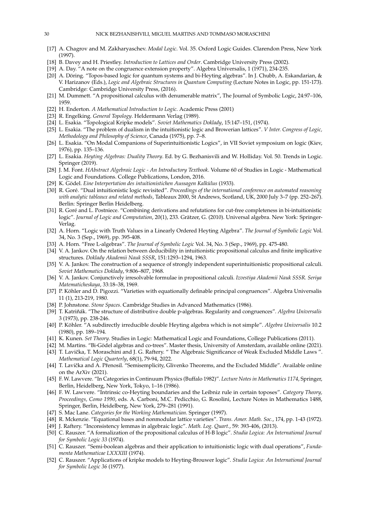- <span id="page-29-9"></span>[17] A. Chagrov and M. Zakharyaschev. *Modal Logic*. Vol. 35. Oxford Logic Guides. Clarendon Press, New York (1997).
- [18] B. Davey and H. Priestley. *Introduction to Lattices and Order*. Cambridge University Press (2002).
- <span id="page-29-19"></span>[19] A. Day. "A note on the congruence extension property". Algebra Universalis, 1 (1971), 234-235.
- <span id="page-29-8"></span>[20] A. Döring. "Topos-based logic for quantum systems and bi-Heyting algebras". In J. Chubb, A. Eskandarian, & V. Harizanov (Eds.), *Logic and Algebraic Structures in Quantum Computing* (Lecture Notes in Logic, pp. 151-173). Cambridge: Cambridge University Press, (2016).
- <span id="page-29-12"></span>[21] M. Dummett. "A propositional calculus with denumerable matrix", The Journal of Symbolic Logic, 24:97–106, 1959.
- [22] H. Enderton. *A Mathematical Introduction to Logic*. Academic Press (2001)
- [23] R. Engelking. *General Topology*. Heldermann Verlag (1989).
- [24] L. Esakia. "Topological Kripke models". *Soviet Mathematics Doklady*, 15:147–151, (1974).
- <span id="page-29-3"></span>[25] L. Esakia. "The problem of dualism in the intuitionistic logic and Browerian lattices". *V Inter. Congress of Logic, Methodology and Philosophy of Science*, Canada (1975), pp. 7–8.
- <span id="page-29-1"></span>[26] L. Esakia. "On Modal Companions of Superintuitionistic Logics", in VII Soviet symposium on logic (Kiev, 1976), pp. 135–136.
- <span id="page-29-21"></span>[27] L. Esakia. *Heyting Algebras: Duality Theory*. Ed. by G. Bezhanisvili and W. Holliday. Vol. 50. Trends in Logic. Springer (2019).
- <span id="page-29-20"></span>[28] J. M. Font. *HAbstract Algebraic Logic - An Introductory Textbook*. Volume 60 of Studies in Logic - Mathematical Logic and Foundations. College Publications, London, 2016.
- <span id="page-29-13"></span>[29] K. Gödel. Eine Interpertation des intuitionistichen Aussagen Kalkülus (1933).
- <span id="page-29-10"></span>[30] R. Goré. "Dual intuitionistic logic revisited". Proceedings of the international conference on automated reasoning *with analytic tableaux and related methods*, Tableaux 2000, St Andrews, Scotland, UK, 2000 July 3–7 (pp. 252–267). Berlin: Springer Berlin Heidelberg.
- <span id="page-29-11"></span>[31] R. Gore and L. Postniece. "Combining derivations and refutations for cut-free completeness in bi-intuitionistic ´ logic". *Journal of Logic and Computation*, 20(1), 233. Grätzer, G. (2010). Universal algebra. New York: Springer-Verlag.
- <span id="page-29-22"></span>[32] A. Horn. "Logic with Truth Values in a Linearly Ordered Heyting Algebra". *The Journal of Symbolic Logic* Vol. 34, No. 3 (Sep., 1969), pp. 395-408.
- <span id="page-29-18"></span>[33] A. Horn. "Free L-algebras". *The Journal of Symbolic Logic* Vol. 34, No. 3 (Sep., 1969), pp. 475-480.
- <span id="page-29-23"></span>[34] V. A. Jankov. On the relation between deducibility in intuitionistic propositional calculus and finite implicative structures. *Doklady Akademii Nauk SSSR*, 151:1293–1294, 1963.
- <span id="page-29-24"></span>[35] V. A. Jankov. The construction of a sequence of strongly independent superintuitionistic propositional calculi. *Soviet Mathematics Doklady*, 9:806–807, 1968.
- <span id="page-29-25"></span>[36] V. A. Jankov. Conjunctively irresolvable formulae in propositional calculi. *Izvestiya Akademii Nauk SSSR. Seriya Matematicheskaya*, 33:18–38, 1969.
- <span id="page-29-4"></span>[37] P. Köhler and D. Pigozzi. "Varieties with equationally definable principal congruences". Algebra Universalis 11 (1), 213-219, 1980.
- [38] P. Johnstone. *Stone Spaces*. Cambridge Studies in Advanced Mathematics (1986).
- [39] T. Katriňák. "The structure of distributive double p-algebras. Regularity and congruences". *Algebra Universalis* 3 (1973), pp. 238-246.
- [40] P. Köhler. "A subdirectly irreducible double Heyting algebra which is not simple". Algebra Universalis 10.2 (1980), pp. 189–194.
- [41] K. Kunen. *Set Theory*. Studies in Logic: Mathematical Logic and Foundations, College Publications (2011).
- <span id="page-29-17"></span>[42] M. Martins. "Bi-Gödel algebras and co-trees". Master thesis, University of Amsterdam, available online (2021).
- <span id="page-29-16"></span>[43] T. Lavička, T. Moraschini and J. G. Raftery. " The Algebraic Significance of Weak Excluded Middle Laws ". *Mathematical Logic Quarterly*, 68(1), 79-94, 2022.
- <span id="page-29-15"></span>[44] T. Lavička and A. Přenosil. "Semisemplicity, Glivenko Theorems, and the Excluded Middle". Available online on the ArXiv (2021).
- <span id="page-29-6"></span>[45] F. W. Lawvere. "In Categories in Continuum Physics (Buffalo 1982)". *Lecture Notes in Mathematics 1174*, Springer, Berlin, Heidelberg, New York, Tokyo, 1–16 (1986).
- <span id="page-29-7"></span>[46] F. W. Lawvere. "Intrinsic co-Heyting boundaries and the Leibniz rule in certain toposes". *Category Theory, Proceedings, Como 1990*, eds. A. Carboni, M.C. Pedicchio, G. Rosolini, Lecture Notes in Mathematics 1488, Springer, Berlin, Heidelberg, New York, 279–281 (1991).
- [47] S. Mac Lane. *Categories for the Working Mathematician*. Springer (1997).
- <span id="page-29-26"></span>[48] R. Mckenzie. "Equational bases and nonmodular lattice varieties". *Trans. Amer. Math. Soc.*, 174, pp. 1-43 (1972).
- <span id="page-29-14"></span>[49] J. Raftery. "Inconsistency lemmas in algebraic logic". *Math. Log. Quart.*, 59: 393-406, (2013).
- <span id="page-29-5"></span>[50] C. Rauszer. "A formalization of the propositional calculus of H-B logic". *Studia Logica: An International Journal for Symbolic Logic 33* (1974).
- <span id="page-29-2"></span>[51] C. Rauszer. "Semi-boolean algebras and their application to intuitionistic logic with dual operations", *Fundamenta Mathematicae LXXXIII* (1974).
- <span id="page-29-0"></span>[52] C. Rauszer. "Applications of kripke models to Heyting-Brouwer logic". *Studia Logica: An International Journal for Symbolic Logic 36* (1977).